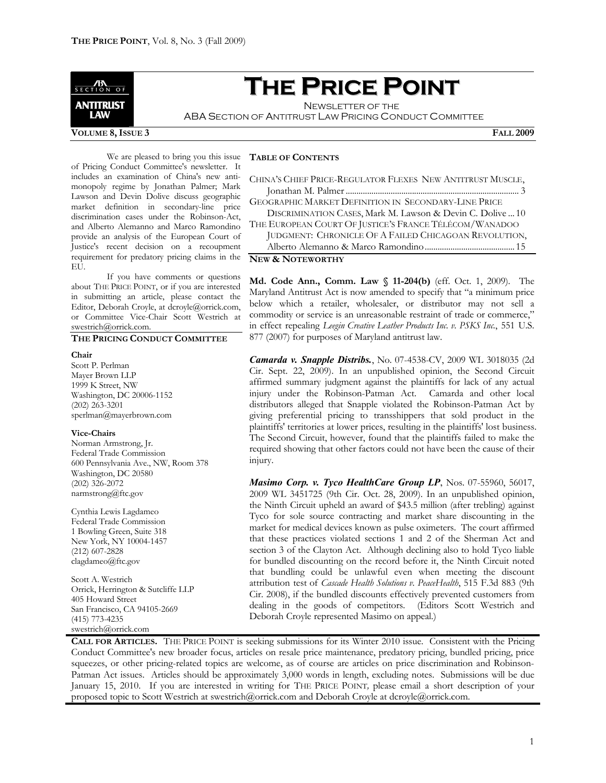

# **THE PRICE POINT**

NEWSLETTER OF THE ABA SECTION OF ANTITRUST LAW PRICING CONDUCT COMMITTEE

#### **VOLUME 8,ISSUE 3 FALL 2009**

We are pleased to bring you this issue of Pricing Conduct Committee's newsletter. It includes an examination of China's new antimonopoly regime by Jonathan Palmer; Mark Lawson and Devin Dolive discuss geographic market definition in secondary-line price discrimination cases under the Robinson-Act, and Alberto Alemanno and Marco Ramondino provide an analysis of the European Court of Justice's recent decision on a recoupment requirement for predatory pricing claims in the EU.

If you have comments or questions about THE PRICE POINT, or if you are interested in submitting an article, please contact the Editor, Deborah Croyle, at dcroyle@orrick.com, or Committee Vice-Chair Scott Westrich at swestrich@orrick.com.

# **THE PRICING CONDUCT COMMITTEE**

#### **Chair**

Scott P. Perlman Mayer Brown LLP 1999 K Street, NW Washington, DC 20006-1152 (202) 263-3201 sperlman@mayerbrown.com

#### **Vice-Chairs**

Norman Armstrong, Jr. Federal Trade Commission 600 Pennsylvania Ave., NW, Room 378 Washington, DC 20580 (202) 326-2072 narmstrong@ftc.gov

Cynthia Lewis Lagdameo Federal Trade Commission 1 Bowling Green, Suite 318 New York, NY 10004-1457 (212) 607-2828 clagdameo@ftc.gov

Scott A. Westrich Orrick, Herrington & Sutcliffe LLP 405 Howard Street San Francisco, CA 94105-2669 (415) 773-4235 swestrich@orrick.com

# **TABLE OF CONTENTS**

| CHINA'S CHIEF PRICE-REGULATOR FLEXES NEW ANTITRUST MUSCLE, |  |
|------------------------------------------------------------|--|
|                                                            |  |
| GEOGRAPHIC MARKET DEFINITION IN SECONDARY-LINE PRICE       |  |
| DISCRIMINATION CASES, Mark M. Lawson & Devin C. Dolive  10 |  |
| THE EUROPEAN COURT OF JUSTICE'S FRANCE TÉLÉCOM/WANADOO     |  |
| JUDGMENT: CHRONICLE OF A FAILED CHICAGOAN REVOLUTION,      |  |

Alberto Alemanno & Marco Ramondino.......................................... 15

**NEW & NOTEWORTHY**

**Md. Code Ann., Comm. Law § 11-204(b)** (eff. Oct. 1, 2009). The Maryland Antitrust Act is now amended to specify that "a minimum price below which a retailer, wholesaler, or distributor may not sell a commodity or service is an unreasonable restraint of trade or commerce," in effect repealing *Leegin Creative Leather Products Inc. v. PSKS Inc.*, 551 U.S. 877 (2007) for purposes of Maryland antitrust law.

*Camarda v. Snapple Distribs.*, No. 07-4538-CV, 2009 WL 3018035 (2d Cir. Sept. 22, 2009). In an unpublished opinion, the Second Circuit affirmed summary judgment against the plaintiffs for lack of any actual injury under the Robinson-Patman Act. Camarda and other local distributors alleged that Snapple violated the Robinson-Patman Act by giving preferential pricing to transshippers that sold product in the plaintiffs' territories at lower prices, resulting in the plaintiffs' lost business. The Second Circuit, however, found that the plaintiffs failed to make the required showing that other factors could not have been the cause of their injury.

*Masimo Corp. v. Tyco HealthCare Group LP*, Nos. 07-55960, 56017, 2009 WL 3451725 (9th Cir. Oct. 28, 2009). In an unpublished opinion, the Ninth Circuit upheld an award of \$43.5 million (after trebling) against Tyco for sole source contracting and market share discounting in the market for medical devices known as pulse oximeters. The court affirmed that these practices violated sections 1 and 2 of the Sherman Act and section 3 of the Clayton Act. Although declining also to hold Tyco liable for bundled discounting on the record before it, the Ninth Circuit noted that bundling could be unlawful even when meeting the discount attribution test of *Cascade Health Solutions v. PeaceHealth*, 515 F.3d 883 (9th Cir. 2008), if the bundled discounts effectively prevented customers from dealing in the goods of competitors. (Editors Scott Westrich and Deborah Croyle represented Masimo on appeal.)

**CALL FOR ARTICLES.** THE PRICE POINT is seeking submissions for its Winter 2010 issue. Consistent with the Pricing Conduct Committee's new broader focus, articles on resale price maintenance, predatory pricing, bundled pricing, price squeezes, or other pricing-related topics are welcome, as of course are articles on price discrimination and Robinson-Patman Act issues. Articles should be approximately 3,000 words in length, excluding notes. Submissions will be due January 15, 2010. If you are interested in writing for THE PRICE POINT*,* please email a short description of your proposed topic to Scott Westrich at swestrich@orrick.com and Deborah Croyle at dcroyle@orrick.com.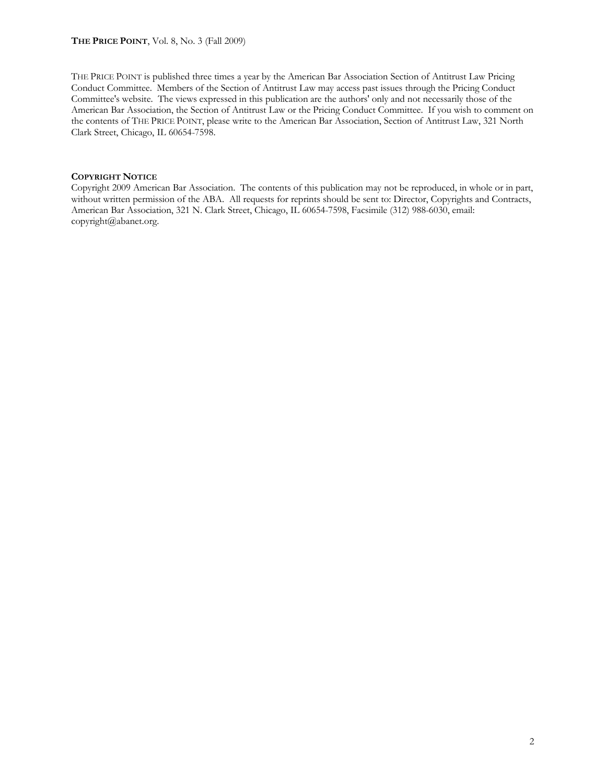# **THE PRICE POINT**, Vol. 8, No. 3 (Fall 2009)

THE PRICE POINT is published three times a year by the American Bar Association Section of Antitrust Law Pricing Conduct Committee. Members of the Section of Antitrust Law may access past issues through the Pricing Conduct Committee's website. The views expressed in this publication are the authors' only and not necessarily those of the American Bar Association, the Section of Antitrust Law or the Pricing Conduct Committee. If you wish to comment on the contents of THE PRICE POINT, please write to the American Bar Association, Section of Antitrust Law, 321 North Clark Street, Chicago, IL 60654-7598.

# **COPYRIGHT NOTICE**

Copyright 2009 American Bar Association. The contents of this publication may not be reproduced, in whole or in part, without written permission of the ABA. All requests for reprints should be sent to: Director, Copyrights and Contracts, American Bar Association, 321 N. Clark Street, Chicago, IL 60654-7598, Facsimile (312) 988-6030, email: copyright@abanet.org.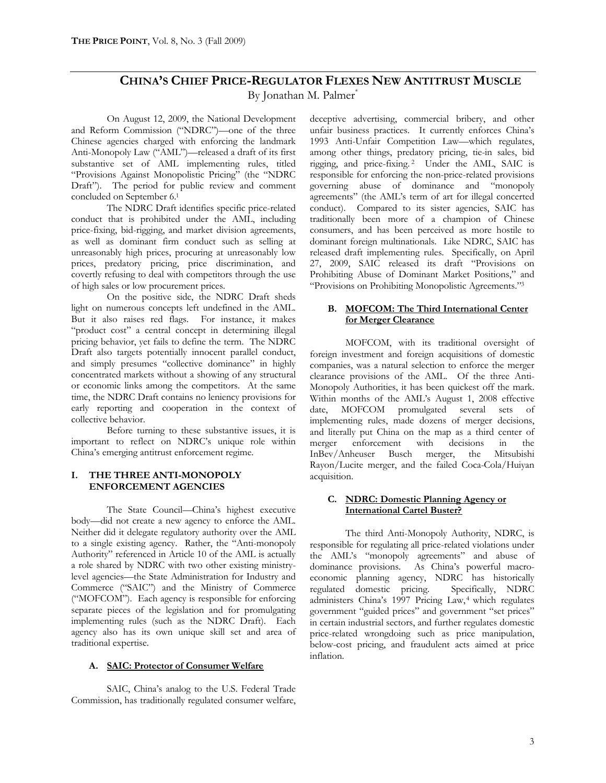# **CHINA'S CHIEF PRICE-REGULATOR FLEXES NEW ANTITRUST MUSCLE** By Jonathan M. Palmer\*

On August 12, 2009, the National Development and Reform Commission ("NDRC")—one of the three Chinese agencies charged with enforcing the landmark Anti-Monopoly Law ("AML")—released a draft of its first substantive set of AML implementing rules, titled "Provisions Against Monopolistic Pricing" (the "NDRC Draft"). The period for public review and comment concluded on September 6.<sup>1</sup>

The NDRC Draft identifies specific price-related conduct that is prohibited under the AML, including price-fixing, bid-rigging, and market division agreements, as well as dominant firm conduct such as selling at unreasonably high prices, procuring at unreasonably low prices, predatory pricing, price discrimination, and covertly refusing to deal with competitors through the use of high sales or low procurement prices.

On the positive side, the NDRC Draft sheds light on numerous concepts left undefined in the AML. But it also raises red flags. For instance, it makes "product cost" a central concept in determining illegal pricing behavior, yet fails to define the term. The NDRC Draft also targets potentially innocent parallel conduct, and simply presumes "collective dominance" in highly concentrated markets without a showing of any structural or economic links among the competitors. At the same time, the NDRC Draft contains no leniency provisions for early reporting and cooperation in the context of collective behavior.

Before turning to these substantive issues, it is important to reflect on NDRC's unique role within China's emerging antitrust enforcement regime.

#### **I. THE THREE ANTI-MONOPOLY ENFORCEMENT AGENCIES**

The State Council—China's highest executive body—did not create a new agency to enforce the AML. Neither did it delegate regulatory authority over the AML to a single existing agency. Rather, the "Anti-monopoly Authority" referenced in Article 10 of the AML is actually a role shared by NDRC with two other existing ministrylevel agencies—the State Administration for Industry and Commerce ("SAIC") and the Ministry of Commerce ("MOFCOM"). Each agency is responsible for enforcing separate pieces of the legislation and for promulgating implementing rules (such as the NDRC Draft). Each agency also has its own unique skill set and area of traditional expertise.

# **A. SAIC: Protector of Consumer Welfare**

SAIC, China's analog to the U.S. Federal Trade Commission, has traditionally regulated consumer welfare, deceptive advertising, commercial bribery, and other unfair business practices. It currently enforces China's 1993 Anti-Unfair Competition Law—which regulates, among other things, predatory pricing, tie-in sales, bid rigging, and price-fixing. <sup>2</sup> Under the AML, SAIC is responsible for enforcing the non-price-related provisions governing abuse of dominance and "monopoly agreements" (the AML's term of art for illegal concerted conduct). Compared to its sister agencies, SAIC has traditionally been more of a champion of Chinese consumers, and has been perceived as more hostile to dominant foreign multinationals. Like NDRC, SAIC has released draft implementing rules. Specifically, on April 27, 2009, SAIC released its draft "Provisions on Prohibiting Abuse of Dominant Market Positions," and "Provisions on Prohibiting Monopolistic Agreements."<sup>3</sup>

# **B. MOFCOM: The Third International Center for Merger Clearance**

MOFCOM, with its traditional oversight of foreign investment and foreign acquisitions of domestic companies, was a natural selection to enforce the merger clearance provisions of the AML. Of the three Anti-Monopoly Authorities, it has been quickest off the mark. Within months of the AML's August 1, 2008 effective date, MOFCOM promulgated several sets of implementing rules, made dozens of merger decisions, and literally put China on the map as a third center of merger enforcement with decisions in the InBev/Anheuser Busch merger, the Mitsubishi Rayon/Lucite merger, and the failed Coca-Cola/Huiyan acquisition.

# **C. NDRC: Domestic Planning Agency or International Cartel Buster?**

The third Anti-Monopoly Authority, NDRC, is responsible for regulating all price-related violations under the AML's "monopoly agreements" and abuse of dominance provisions. As China's powerful macroeconomic planning agency, NDRC has historically regulated domestic pricing. administers China's 1997 Pricing Law,<sup>4</sup> which regulates government "guided prices" and government "set prices" in certain industrial sectors, and further regulates domestic price-related wrongdoing such as price manipulation, below-cost pricing, and fraudulent acts aimed at price inflation.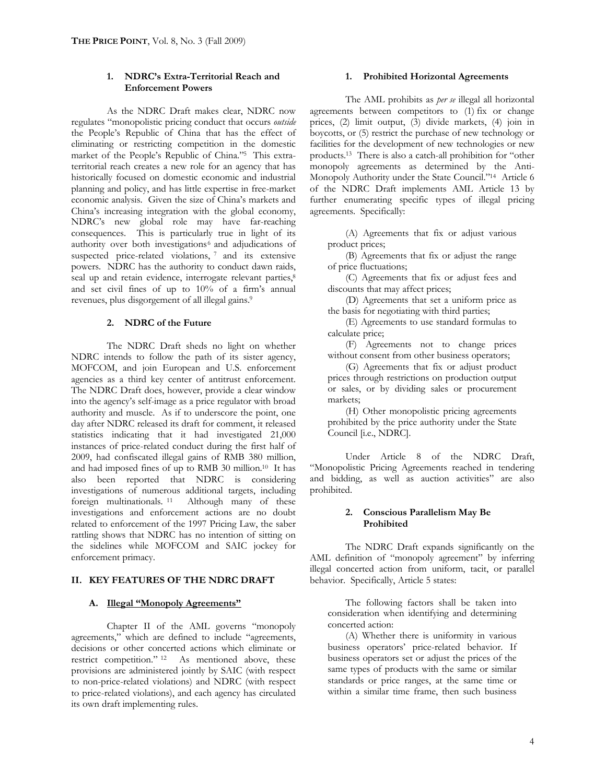# **1. NDRC's Extra-Territorial Reach and Enforcement Powers**

As the NDRC Draft makes clear, NDRC now regulates "monopolistic pricing conduct that occurs *outside* the People's Republic of China that has the effect of eliminating or restricting competition in the domestic market of the People's Republic of China."<sup>5</sup> This extraterritorial reach creates a new role for an agency that has historically focused on domestic economic and industrial planning and policy, and has little expertise in free-market economic analysis. Given the size of China's markets and China's increasing integration with the global economy, NDRC's new global role may have far-reaching consequences. This is particularly true in light of its authority over both investigations<sup>6</sup> and adjudications of suspected price-related violations, 7 and its extensive powers. NDRC has the authority to conduct dawn raids, seal up and retain evidence, interrogate relevant parties,<sup>8</sup> and set civil fines of up to 10% of a firm's annual revenues, plus disgorgement of all illegal gains.<sup>9</sup>

#### **2. NDRC of the Future**

The NDRC Draft sheds no light on whether NDRC intends to follow the path of its sister agency, MOFCOM, and join European and U.S. enforcement agencies as a third key center of antitrust enforcement. The NDRC Draft does, however, provide a clear window into the agency's self-image as a price regulator with broad authority and muscle. As if to underscore the point, one day after NDRC released its draft for comment, it released statistics indicating that it had investigated 21,000 instances of price-related conduct during the first half of 2009, had confiscated illegal gains of RMB 380 million, and had imposed fines of up to RMB 30 million.<sup>10</sup> It has also been reported that NDRC is considering investigations of numerous additional targets, including foreign multinationals. <sup>11</sup> Although many of these investigations and enforcement actions are no doubt related to enforcement of the 1997 Pricing Law, the saber rattling shows that NDRC has no intention of sitting on the sidelines while MOFCOM and SAIC jockey for enforcement primacy.

# **II. KEY FEATURES OF THE NDRC DRAFT**

#### **A. Illegal "Monopoly Agreements"**

Chapter II of the AML governs "monopoly agreements," which are defined to include "agreements, decisions or other concerted actions which eliminate or restrict competition." <sup>12</sup> As mentioned above, these provisions are administered jointly by SAIC (with respect to non-price-related violations) and NDRC (with respect to price-related violations), and each agency has circulated its own draft implementing rules.

#### **1. Prohibited Horizontal Agreements**

The AML prohibits as *per se* illegal all horizontal agreements between competitors to (1) fix or change prices, (2) limit output, (3) divide markets, (4) join in boycotts, or (5) restrict the purchase of new technology or facilities for the development of new technologies or new products.<sup>13</sup> There is also a catch-all prohibition for "other monopoly agreements as determined by the Anti-Monopoly Authority under the State Council."<sup>14</sup> Article 6 of the NDRC Draft implements AML Article 13 by further enumerating specific types of illegal pricing agreements. Specifically:

(A) Agreements that fix or adjust various product prices;

(B) Agreements that fix or adjust the range of price fluctuations;

(C) Agreements that fix or adjust fees and discounts that may affect prices;

(D) Agreements that set a uniform price as the basis for negotiating with third parties;

(E) Agreements to use standard formulas to calculate price;

(F) Agreements not to change prices without consent from other business operators;

(G) Agreements that fix or adjust product prices through restrictions on production output or sales, or by dividing sales or procurement markets;

(H) Other monopolistic pricing agreements prohibited by the price authority under the State Council [i.e., NDRC].

Under Article 8 of the NDRC Draft, "Monopolistic Pricing Agreements reached in tendering and bidding, as well as auction activities" are also prohibited.

#### **2. Conscious Parallelism May Be Prohibited**

The NDRC Draft expands significantly on the AML definition of "monopoly agreement" by inferring illegal concerted action from uniform, tacit, or parallel behavior. Specifically, Article 5 states:

The following factors shall be taken into consideration when identifying and determining concerted action:

(A) Whether there is uniformity in various business operators' price-related behavior. If business operators set or adjust the prices of the same types of products with the same or similar standards or price ranges, at the same time or within a similar time frame, then such business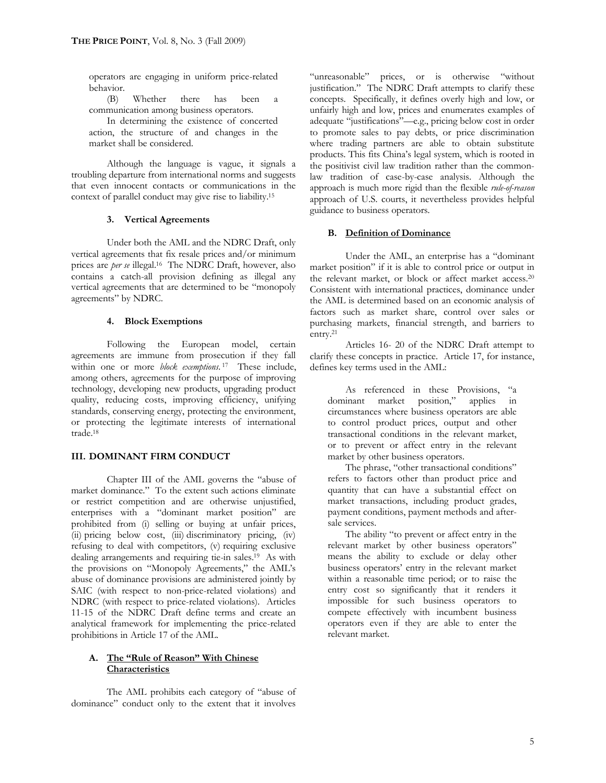operators are engaging in uniform price-related behavior.

(B) Whether there has been a communication among business operators.

In determining the existence of concerted action, the structure of and changes in the market shall be considered.

Although the language is vague, it signals a troubling departure from international norms and suggests that even innocent contacts or communications in the context of parallel conduct may give rise to liability.<sup>15</sup>

#### **3. Vertical Agreements**

Under both the AML and the NDRC Draft, only vertical agreements that fix resale prices and/or minimum prices are *per se* illegal.<sup>16</sup> The NDRC Draft, however, also contains a catch-all provision defining as illegal any vertical agreements that are determined to be "monopoly agreements" by NDRC.

#### **4. Block Exemptions**

Following the European model, certain agreements are immune from prosecution if they fall within one or more *block exemptions*. <sup>17</sup> These include, among others, agreements for the purpose of improving technology, developing new products, upgrading product quality, reducing costs, improving efficiency, unifying standards, conserving energy, protecting the environment, or protecting the legitimate interests of international trade.<sup>18</sup>

# **III. DOMINANT FIRM CONDUCT**

Chapter III of the AML governs the "abuse of market dominance." To the extent such actions eliminate or restrict competition and are otherwise unjustified, enterprises with a "dominant market position" are prohibited from (i) selling or buying at unfair prices,  $(iii)$  pricing below cost,  $(iii)$  discriminatory pricing,  $(iv)$ refusing to deal with competitors, (v) requiring exclusive dealing arrangements and requiring tie-in sales.<sup>19</sup> As with the provisions on "Monopoly Agreements," the AML's abuse of dominance provisions are administered jointly by SAIC (with respect to non-price-related violations) and NDRC (with respect to price-related violations). Articles 11-15 of the NDRC Draft define terms and create an analytical framework for implementing the price-related prohibitions in Article 17 of the AML.

## **A. The "Rule of Reason" With Chinese Characteristics**

The AML prohibits each category of "abuse of dominance" conduct only to the extent that it involves

"unreasonable" prices, or is otherwise "without justification." The NDRC Draft attempts to clarify these concepts. Specifically, it defines overly high and low, or unfairly high and low, prices and enumerates examples of adequate "justifications"—e.g., pricing below cost in order to promote sales to pay debts, or price discrimination where trading partners are able to obtain substitute products. This fits China's legal system, which is rooted in the positivist civil law tradition rather than the commonlaw tradition of case-by-case analysis. Although the approach is much more rigid than the flexible *rule-of-reason* approach of U.S. courts, it nevertheless provides helpful guidance to business operators.

#### **B. Definition of Dominance**

Under the AML, an enterprise has a "dominant market position" if it is able to control price or output in the relevant market, or block or affect market access.<sup>20</sup> Consistent with international practices, dominance under the AML is determined based on an economic analysis of factors such as market share, control over sales or purchasing markets, financial strength, and barriers to  $entrv<sup>21</sup>$ 

Articles 16- 20 of the NDRC Draft attempt to clarify these concepts in practice. Article 17, for instance, defines key terms used in the AML:

As referenced in these Provisions, "a dominant market position," applies in circumstances where business operators are able to control product prices, output and other transactional conditions in the relevant market, or to prevent or affect entry in the relevant market by other business operators.

The phrase, "other transactional conditions" refers to factors other than product price and quantity that can have a substantial effect on market transactions, including product grades, payment conditions, payment methods and aftersale services.

The ability "to prevent or affect entry in the relevant market by other business operators" means the ability to exclude or delay other business operators' entry in the relevant market within a reasonable time period; or to raise the entry cost so significantly that it renders it impossible for such business operators to compete effectively with incumbent business operators even if they are able to enter the relevant market.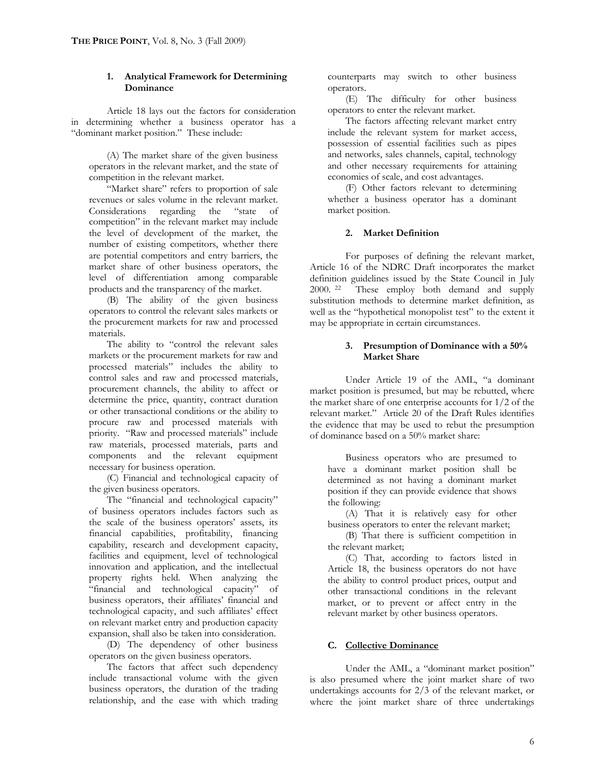# **1. Analytical Framework for Determining Dominance**

Article 18 lays out the factors for consideration in determining whether a business operator has a "dominant market position." These include:

(A) The market share of the given business operators in the relevant market, and the state of competition in the relevant market.

"Market share" refers to proportion of sale revenues or sales volume in the relevant market. Considerations regarding the "state of competition" in the relevant market may include the level of development of the market, the number of existing competitors, whether there are potential competitors and entry barriers, the market share of other business operators, the level of differentiation among comparable products and the transparency of the market.

(B) The ability of the given business operators to control the relevant sales markets or the procurement markets for raw and processed materials.

The ability to "control the relevant sales markets or the procurement markets for raw and processed materials" includes the ability to control sales and raw and processed materials, procurement channels, the ability to affect or determine the price, quantity, contract duration or other transactional conditions or the ability to procure raw and processed materials with priority. "Raw and processed materials" include raw materials, processed materials, parts and components and the relevant equipment necessary for business operation.

(C) Financial and technological capacity of the given business operators.

The "financial and technological capacity" of business operators includes factors such as the scale of the business operators' assets, its financial capabilities, profitability, financing capability, research and development capacity, facilities and equipment, level of technological innovation and application, and the intellectual property rights held. When analyzing the "financial and technological capacity" of business operators, their affiliates' financial and technological capacity, and such affiliates' effect on relevant market entry and production capacity expansion, shall also be taken into consideration.

(D) The dependency of other business operators on the given business operators.

The factors that affect such dependency include transactional volume with the given business operators, the duration of the trading relationship, and the ease with which trading counterparts may switch to other business operators.

(E) The difficulty for other business operators to enter the relevant market.

The factors affecting relevant market entry include the relevant system for market access, possession of essential facilities such as pipes and networks, sales channels, capital, technology and other necessary requirements for attaining economies of scale, and cost advantages.

(F) Other factors relevant to determining whether a business operator has a dominant market position.

# **2. Market Definition**

For purposes of defining the relevant market, Article 16 of the NDRC Draft incorporates the market definition guidelines issued by the State Council in July 2000. <sup>22</sup> These employ both demand and supply substitution methods to determine market definition, as well as the "hypothetical monopolist test" to the extent it may be appropriate in certain circumstances.

#### **3. Presumption of Dominance with a 50% Market Share**

Under Article 19 of the AML, "a dominant market position is presumed, but may be rebutted, where the market share of one enterprise accounts for 1/2 of the relevant market." Article 20 of the Draft Rules identifies the evidence that may be used to rebut the presumption of dominance based on a 50% market share:

Business operators who are presumed to have a dominant market position shall be determined as not having a dominant market position if they can provide evidence that shows the following:

(A) That it is relatively easy for other business operators to enter the relevant market;

(B) That there is sufficient competition in the relevant market;

(C) That, according to factors listed in Article 18, the business operators do not have the ability to control product prices, output and other transactional conditions in the relevant market, or to prevent or affect entry in the relevant market by other business operators.

#### **C. Collective Dominance**

Under the AML, a "dominant market position" is also presumed where the joint market share of two undertakings accounts for 2/3 of the relevant market, or where the joint market share of three undertakings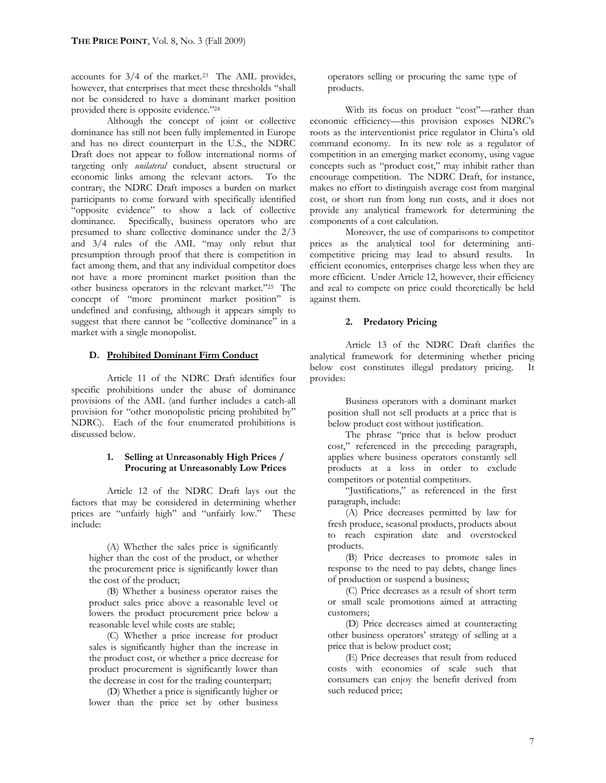accounts for 3/4 of the market.<sup>23</sup> The AML provides, however, that enterprises that meet these thresholds "shall not be considered to have a dominant market position provided there is opposite evidence."<sup>24</sup>

Although the concept of joint or collective dominance has still not been fully implemented in Europe and has no direct counterpart in the U.S., the NDRC Draft does not appear to follow international norms of targeting only *unilateral* conduct, absent structural or economic links among the relevant actors. To the contrary, the NDRC Draft imposes a burden on market participants to come forward with specifically identified "opposite evidence" to show a lack of collective dominance. Specifically, business operators who are presumed to share collective dominance under the 2/3 and 3/4 rules of the AML "may only rebut that presumption through proof that there is competition in fact among them, and that any individual competitor does not have a more prominent market position than the other business operators in the relevant market."<sup>25</sup> The concept of "more prominent market position" is undefined and confusing, although it appears simply to suggest that there cannot be "collective dominance" in a market with a single monopolist.

#### **D. Prohibited Dominant Firm Conduct**

Article 11 of the NDRC Draft identifies four specific prohibitions under the abuse of dominance provisions of the AML (and further includes a catch-all provision for "other monopolistic pricing prohibited by" NDRC). Each of the four enumerated prohibitions is discussed below.

# **1. Selling at Unreasonably High Prices / Procuring at Unreasonably Low Prices**

Article 12 of the NDRC Draft lays out the factors that may be considered in determining whether prices are "unfairly high" and "unfairly low." These include:

(A) Whether the sales price is significantly higher than the cost of the product, or whether the procurement price is significantly lower than the cost of the product;

(B) Whether a business operator raises the product sales price above a reasonable level or lowers the product procurement price below a reasonable level while costs are stable;

(C) Whether a price increase for product sales is significantly higher than the increase in the product cost, or whether a price decrease for product procurement is significantly lower than the decrease in cost for the trading counterpart;

(D) Whether a price is significantly higher or lower than the price set by other business

operators selling or procuring the same type of products.

With its focus on product "cost"—rather than economic efficiency—this provision exposes NDRC's roots as the interventionist price regulator in China's old command economy. In its new role as a regulator of competition in an emerging market economy, using vague concepts such as "product cost," may inhibit rather than encourage competition. The NDRC Draft, for instance, makes no effort to distinguish average cost from marginal cost, or short run from long run costs, and it does not provide any analytical framework for determining the components of a cost calculation.

Moreover, the use of comparisons to competitor prices as the analytical tool for determining anticompetitive pricing may lead to absurd results. In efficient economies, enterprises charge less when they are more efficient. Under Article 12, however, their efficiency and zeal to compete on price could theoretically be held against them.

#### **2. Predatory Pricing**

Article 13 of the NDRC Draft clarifies the analytical framework for determining whether pricing below cost constitutes illegal predatory pricing. It provides:

Business operators with a dominant market position shall not sell products at a price that is below product cost without justification.

The phrase "price that is below product cost," referenced in the preceding paragraph, applies where business operators constantly sell products at a loss in order to exclude competitors or potential competitors.

"Justifications," as referenced in the first paragraph, include:

(A) Price decreases permitted by law for fresh produce, seasonal products, products about to reach expiration date and overstocked products.

(B) Price decreases to promote sales in response to the need to pay debts, change lines of production or suspend a business;

(C) Price decreases as a result of short term or small scale promotions aimed at attracting customers;

(D) Price decreases aimed at counteracting other business operators' strategy of selling at a price that is below product cost;

(E) Price decreases that result from reduced costs with economies of scale such that consumers can enjoy the benefit derived from such reduced price;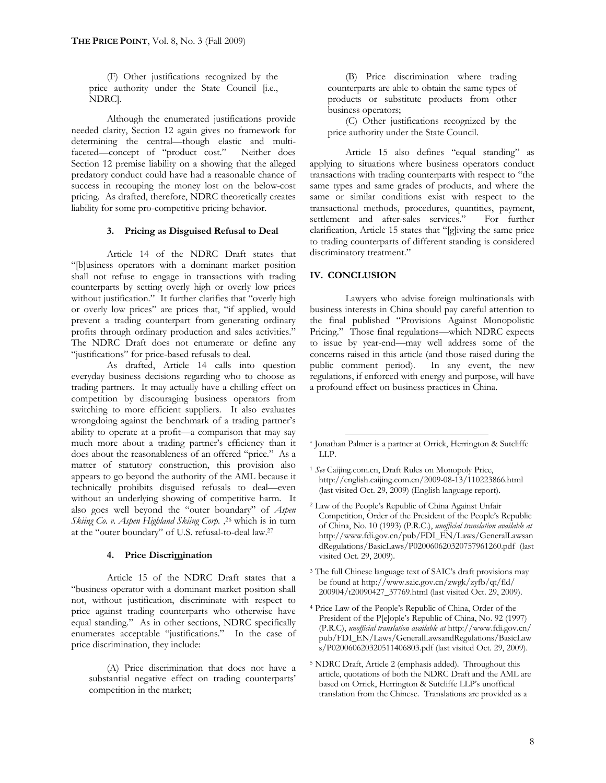(F) Other justifications recognized by the price authority under the State Council [i.e., NDRC].

Although the enumerated justifications provide needed clarity, Section 12 again gives no framework for determining the central—though elastic and multifaceted—concept of "product cost." Neither does Section 12 premise liability on a showing that the alleged predatory conduct could have had a reasonable chance of success in recouping the money lost on the below-cost pricing. As drafted, therefore, NDRC theoretically creates liability for some pro-competitive pricing behavior.

#### **3. Pricing as Disguised Refusal to Deal**

Article 14 of the NDRC Draft states that "[b]usiness operators with a dominant market position shall not refuse to engage in transactions with trading counterparts by setting overly high or overly low prices without justification." It further clarifies that "overly high or overly low prices" are prices that, "if applied, would prevent a trading counterpart from generating ordinary profits through ordinary production and sales activities." The NDRC Draft does not enumerate or define any "justifications" for price-based refusals to deal.

As drafted, Article 14 calls into question everyday business decisions regarding who to choose as trading partners. It may actually have a chilling effect on competition by discouraging business operators from switching to more efficient suppliers. It also evaluates wrongdoing against the benchmark of a trading partner's ability to operate at a profit—a comparison that may say much more about a trading partner's efficiency than it does about the reasonableness of an offered "price." As a matter of statutory construction, this provision also appears to go beyond the authority of the AML because it technically prohibits disguised refusals to deal—even without an underlying showing of competitive harm. It also goes well beyond the "outer boundary" of *Aspen Skiing Co. v. Aspen Highland Skiing Corp.* , <sup>26</sup> which is in turn at the "outer boundary" of U.S. refusal-to-deal law.<sup>27</sup>

#### **4. Price Discrimination**

Article 15 of the NDRC Draft states that a "business operator with a dominant market position shall not, without justification, discriminate with respect to price against trading counterparts who otherwise have equal standing." As in other sections, NDRC specifically enumerates acceptable "justifications." In the case of price discrimination, they include:

(A) Price discrimination that does not have a substantial negative effect on trading counterparts' competition in the market;

(B) Price discrimination where trading counterparts are able to obtain the same types of products or substitute products from other business operators;

(C) Other justifications recognized by the price authority under the State Council.

Article 15 also defines "equal standing" as applying to situations where business operators conduct transactions with trading counterparts with respect to "the same types and same grades of products, and where the same or similar conditions exist with respect to the transactional methods, procedures, quantities, payment, settlement and after-sales services." For further clarification, Article 15 states that "[g]iving the same price to trading counterparts of different standing is considered discriminatory treatment."

#### **IV. CONCLUSION**

Lawyers who advise foreign multinationals with business interests in China should pay careful attention to the final published "Provisions Against Monopolistic Pricing." Those final regulations—which NDRC expects to issue by year-end—may well address some of the concerns raised in this article (and those raised during the public comment period). In any event, the new regulations, if enforced with energy and purpose, will have a profound effect on business practices in China.

- <sup>1</sup> *See* Caijing.com.cn, Draft Rules on Monopoly Price, <http://english.caijing.com.cn/2009-08-13/110223866.html> (last visited Oct. 29, 2009) (English language report).
- <sup>2</sup> Law of the People's Republic of China Against Unfair Competition, Order of the President of the People's Republic of China, No. 10 (1993) (P.R.C.), *unofficial translation available at*  [http://w](http://www.fdi.gov.cn/pub/FDI_EN/Laws/GeneralLawsan)[ww.fdi.gov.cn/pub/FDI\\_EN/Laws/GeneralLawsan](www.fdi.gov.cn/pub/FDI_EN/Laws/GeneralLawsan) dRegulations/BasicLaws/P020060620320757961260.pdf (last visited Oct. 29, 2009).
- <sup>3</sup> The full Chinese language text of SAIC's draft provisions may be found at [http://](http://www.saic.gov.cn/zwgk/zyfb/qt/fld/)<www.saic.gov.cn/zwgk/zyfb/qt/fld/> 200904/t20090427\_37769.html (last visited Oct. 29, 2009).
- <sup>4</sup> Price Law of the People's Republic of China, Order of the President of the P[e]ople's Republic of China, No. 92 (1997) (P.R.C), *unofficial translation available at* [http://](http://www.fdi.gov.cn/)<www.fdi.gov.cn/> pub/FDI\_EN/Laws/GeneralLawsandRegulations/BasicLaw s/P020060620320511406803.pdf (last visited Oct. 29, 2009).
- <sup>5</sup> NDRC Draft, Article 2 (emphasis added). Throughout this article, quotations of both the NDRC Draft and the AML are based on Orrick, Herrington & Sutcliffe LLP's unofficial translation from the Chinese. Translations are provided as a

<sup>\*</sup> Jonathan Palmer is a partner at Orrick, Herrington & Sutcliffe LLP.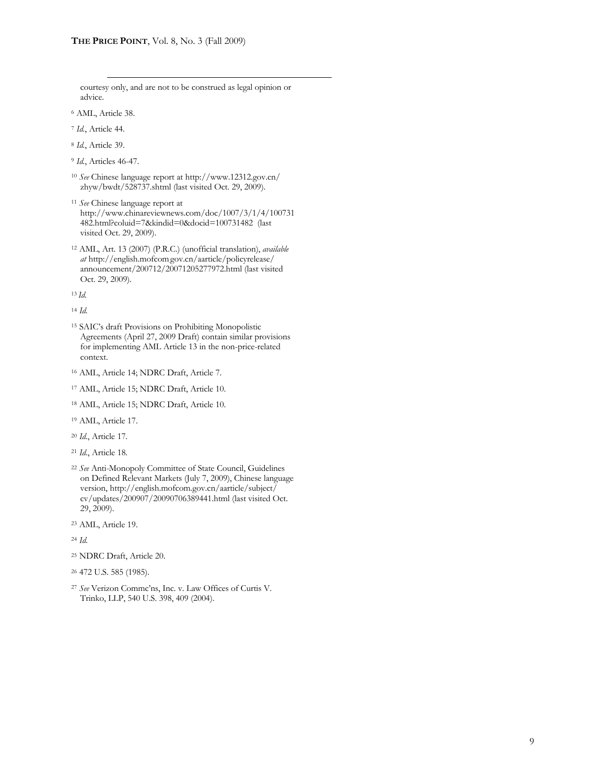courtesy only, and are not to be construed as legal opinion or advice.

- <sup>6</sup> AML, Article 38.
- <sup>7</sup> *Id.*, Article 44.
- <sup>8</sup> *Id.*, Article 39.
- <sup>9</sup> *Id.*, Articles 46-47.
- <sup>10</sup> *See* Chinese language report at [http://w](http://www.12312.gov.cn/)[ww.12312.gov.cn/](www.12312.gov.cn/) zhyw/bwdt/528737.shtml (last visited Oct. 29, 2009).
- <sup>11</sup> *See* Chinese language report at [http://](http://www.chinareviewnews.com/doc/1007/3/1/4/100731)<www.chinareviewnews.com/doc/1007/3/1/4/100731> 482.html?coluid=7&kindid=0&docid=100731482 (last visited Oct. 29, 2009).
- <sup>12</sup> AML, Art. 13 (2007) (P.R.C.) (unofficial translation), *available at* http://english.mofcom.[gov.cn/aarticle/policyrelease/](http://english.mofcom.gov.cn/aarticle/policyrelease/) announcement/200712/20071205277972.html (last visited Oct. 29, 2009).

<sup>13</sup> *Id.*

<sup>14</sup> *Id.*

- <sup>15</sup> SAIC's draft Provisions on Prohibiting Monopolistic Agreements (April 27, 2009 Draft) contain similar provisions for implementing AML Article 13 in the non-price-related context.
- <sup>16</sup> AML, Article 14; NDRC Draft, Article 7.
- <sup>17</sup> AML, Article 15; NDRC Draft, Article 10.
- <sup>18</sup> AML, Article 15; NDRC Draft, Article 10.
- <sup>19</sup> AML, Article 17.
- <sup>20</sup> *Id.*, Article 17.
- <sup>21</sup> *Id.*, Article 18.
- <sup>22</sup> *See* Anti-Monopoly Committee of State Council, Guidelines on Defined Relevant Markets (July 7, 2009), Chinese language version,<http://english.mofcom.gov.cn/aarticle/subject/> cv/updates/200907/20090706389441.html (last visited Oct. 29, 2009).
- <sup>23</sup> AML, Article 19.

<sup>24</sup> *Id*.

- <sup>25</sup> NDRC Draft, Article 20.
- <sup>26</sup> 472 U.S. 585 (1985).
- <sup>27</sup> *See* Verizon Commc'ns, Inc. v. Law Offices of Curtis V. Trinko, LLP, 540 U.S. 398, 409 (2004).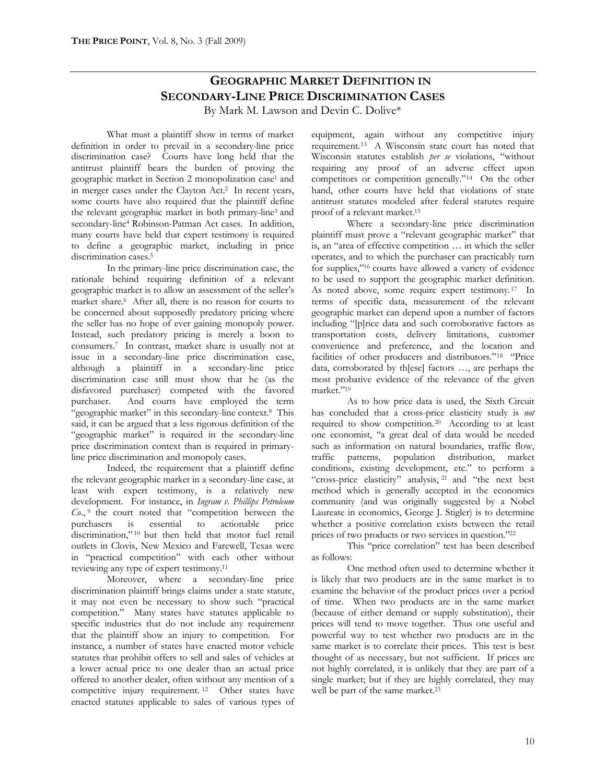# **GEOGRAPHIC MARKET DEFINITION IN SECONDARY-LINE PRICE DISCRIMINATION CASES**

By Mark M. Lawson and Devin C. Dolive\*

What must a plaintiff show in terms of market definition in order to prevail in a secondary-line price discrimination case? Courts have long held that the antitrust plaintiff bears the burden of proving the geographic market in Section 2 monopolization case<sup>1</sup> and in merger cases under the Clayton Act.<sup>2</sup> In recent years, some courts have also required that the plaintiff define the relevant geographic market in both primary-line<sup>3</sup> and secondary-line<sup>4</sup> Robinson-Patman Act cases. In addition, many courts have held that expert testimony is required to define a geographic market, including in price discrimination cases.<sup>5</sup>

In the primary-line price discrimination case, the rationale behind requiring definition of a relevant geographic market is to allow an assessment of the seller's market share.<sup>6</sup> After all, there is no reason for courts to be concerned about supposedly predatory pricing where the seller has no hope of ever gaining monopoly power. Instead, such predatory pricing is merely a boon to consumers.<sup>7</sup> In contrast, market share is usually not at issue in a secondary-line price discrimination case, although a plaintiff in a secondary-line price discrimination case still must show that he (as the disfavored purchaser) competed with the favored purchaser. And courts have employed the term "geographic market" in this secondary-line context.<sup>8</sup> This said, it can be argued that a less rigorous definition of the "geographic market" is required in the secondary-line price discrimination context than is required in primaryline price discrimination and monopoly cases.

Indeed, the requirement that a plaintiff define the relevant geographic market in a secondary-line case, at least with expert testimony, is a relatively new development. For instance, in *Ingram v. Phillips Petroleum Co*., 9 the court noted that "competition between the purchasers is essential to actionable price discrimination," <sup>10</sup> but then held that motor fuel retail outlets in Clovis, New Mexico and Farewell, Texas were in "practical competition" with each other without reviewing any type of expert testimony.<sup>11</sup>

Moreover, where a secondary-line price discrimination plaintiff brings claims under a state statute, it may not even be necessary to show such "practical competition." Many states have statutes applicable to specific industries that do not include any requirement that the plaintiff show an injury to competition. For instance, a number of states have enacted motor vehicle statutes that prohibit offers to sell and sales of vehicles at a lower actual price to one dealer than an actual price offered to another dealer, often without any mention of a competitive injury requirement. <sup>12</sup> Other states have enacted statutes applicable to sales of various types of equipment, again without any competitive injury requirement.<sup>13</sup> A Wisconsin state court has noted that Wisconsin statutes establish *per se* violations, "without requiring any proof of an adverse effect upon competitors or competition generally."<sup>14</sup> On the other hand, other courts have held that violations of state antitrust statutes modeled after federal statutes require proof of a relevant market.<sup>15</sup>

Where a secondary-line price discrimination plaintiff must prove a "relevant geographic market" that is, an "area of effective competition … in which the seller operates, and to which the purchaser can practicably turn for supplies,"<sup>16</sup> courts have allowed a variety of evidence to be used to support the geographic market definition. As noted above, some require expert testimony.<sup>17</sup> In terms of specific data, measurement of the relevant geographic market can depend upon a number of factors including "[p]rice data and such corroborative factors as transportation costs, delivery limitations, customer convenience and preference, and the location and facilities of other producers and distributors."<sup>18</sup> "Price data, corroborated by th[ese] factors …, are perhaps the most probative evidence of the relevance of the given market."<sup>19</sup>

As to how price data is used, the Sixth Circuit has concluded that a cross-price elasticity study is *not* required to show competition.<sup>20</sup> According to at least one economist, "a great deal of data would be needed such as information on natural boundaries, traffic flow, traffic patterns, population distribution, market conditions, existing development, etc." to perform a "cross-price elasticity" analysis, <sup>21</sup> and "the next best method which is generally accepted in the economics community (and was originally suggested by a Nobel Laureate in economics, George J. Stigler) is to determine whether a positive correlation exists between the retail prices of two products or two services in question."<sup>22</sup>

This "price correlation" test has been described as follows:

One method often used to determine whether it is likely that two products are in the same market is to examine the behavior of the product prices over a period of time. When two products are in the same market (because of either demand or supply substitution), their prices will tend to move together. Thus one useful and powerful way to test whether two products are in the same market is to correlate their prices. This test is best thought of as necessary, but not sufficient. If prices are not highly correlated, it is unlikely that they are part of a single market; but if they are highly correlated, they may well be part of the same market.<sup>23</sup>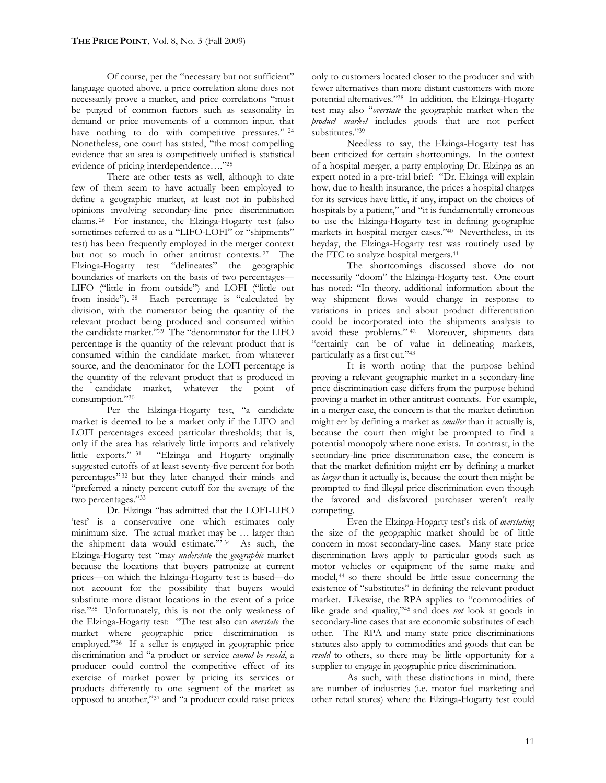Of course, per the "necessary but not sufficient" language quoted above, a price correlation alone does not necessarily prove a market, and price correlations "must be purged of common factors such as seasonality in demand or price movements of a common input, that have nothing to do with competitive pressures." <sup>24</sup> Nonetheless, one court has stated, "the most compelling evidence that an area is competitively unified is statistical evidence of pricing interdependence…."<sup>25</sup>

There are other tests as well, although to date few of them seem to have actually been employed to define a geographic market, at least not in published opinions involving secondary-line price discrimination claims. <sup>26</sup> For instance, the Elzinga-Hogarty test (also sometimes referred to as a "LIFO-LOFI" or "shipments" test) has been frequently employed in the merger context but not so much in other antitrust contexts. <sup>27</sup> The Elzinga-Hogarty test "delineates" the geographic boundaries of markets on the basis of two percentages— LIFO ("little in from outside") and LOFI ("little out from inside"). <sup>28</sup> Each percentage is "calculated by division, with the numerator being the quantity of the relevant product being produced and consumed within the candidate market."<sup>29</sup> The "denominator for the LIFO percentage is the quantity of the relevant product that is consumed within the candidate market, from whatever source, and the denominator for the LOFI percentage is the quantity of the relevant product that is produced in the candidate market, whatever the point of consumption."<sup>30</sup>

Per the Elzinga-Hogarty test, "a candidate market is deemed to be a market only if the LIFO and LOFI percentages exceed particular thresholds; that is, only if the area has relatively little imports and relatively little exports." <sup>31</sup> "Elzinga and Hogarty originally suggested cutoffs of at least seventy-five percent for both percentages" <sup>32</sup> but they later changed their minds and "preferred a ninety percent cutoff for the average of the two percentages."<sup>33</sup>

Dr. Elzinga "has admitted that the LOFI-LIFO 'test' is a conservative one which estimates only minimum size. The actual market may be … larger than the shipment data would estimate.'" <sup>34</sup> As such, the Elzinga-Hogarty test "may *understate* the *geographic* market because the locations that buyers patronize at current prices—on which the Elzinga-Hogarty test is based—do not account for the possibility that buyers would substitute more distant locations in the event of a price rise."<sup>35</sup> Unfortunately, this is not the only weakness of the Elzinga-Hogarty test: "The test also can *overstate* the market where geographic price discrimination is employed."<sup>36</sup> If a seller is engaged in geographic price discrimination and "a product or service *cannot be resold*, a producer could control the competitive effect of its exercise of market power by pricing its services or products differently to one segment of the market as opposed to another,"<sup>37</sup> and "a producer could raise prices

only to customers located closer to the producer and with fewer alternatives than more distant customers with more potential alternatives."<sup>38</sup> In addition, the Elzinga-Hogarty test may also "*overstate* the geographic market when the *product market* includes goods that are not perfect substitutes."39

Needless to say, the Elzinga-Hogarty test has been criticized for certain shortcomings. In the context of a hospital merger, a party employing Dr. Elzinga as an expert noted in a pre-trial brief: "Dr. Elzinga will explain how, due to health insurance, the prices a hospital charges for its services have little, if any, impact on the choices of hospitals by a patient," and "it is fundamentally erroneous to use the Elzinga-Hogarty test in defining geographic markets in hospital merger cases."<sup>40</sup> Nevertheless, in its heyday, the Elzinga-Hogarty test was routinely used by the FTC to analyze hospital mergers.<sup>41</sup>

The shortcomings discussed above do not necessarily "doom" the Elzinga-Hogarty test. One court has noted: "In theory, additional information about the way shipment flows would change in response to variations in prices and about product differentiation could be incorporated into the shipments analysis to avoid these problems." <sup>42</sup> Moreover, shipments data "certainly can be of value in delineating markets, particularly as a first cut."<sup>43</sup>

It is worth noting that the purpose behind proving a relevant geographic market in a secondary-line price discrimination case differs from the purpose behind proving a market in other antitrust contexts. For example, in a merger case, the concern is that the market definition might err by defining a market as *smaller* than it actually is, because the court then might be prompted to find a potential monopoly where none exists. In contrast, in the secondary-line price discrimination case, the concern is that the market definition might err by defining a market as *larger* than it actually is, because the court then might be prompted to find illegal price discrimination even though the favored and disfavored purchaser weren't really competing.

Even the Elzinga-Hogarty test's risk of *overstating* the size of the geographic market should be of little concern in most secondary-line cases. Many state price discrimination laws apply to particular goods such as motor vehicles or equipment of the same make and model,<sup>44</sup> so there should be little issue concerning the existence of "substitutes" in defining the relevant product market. Likewise, the RPA applies to "commodities of like grade and quality,"<sup>45</sup> and does *not* look at goods in secondary-line cases that are economic substitutes of each other. The RPA and many state price discriminations statutes also apply to commodities and goods that can be *resold* to others, so there may be little opportunity for a supplier to engage in geographic price discrimination.

As such, with these distinctions in mind, there are number of industries (i.e. motor fuel marketing and other retail stores) where the Elzinga-Hogarty test could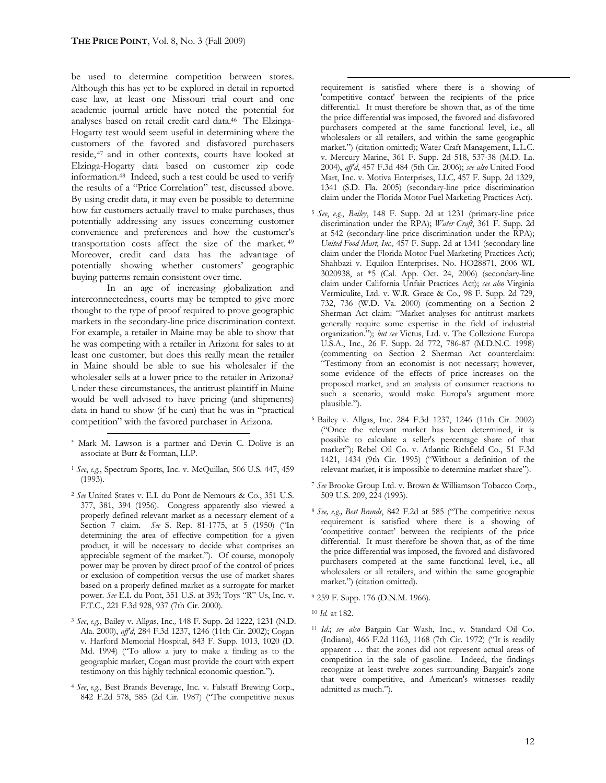be used to determine competition between stores. Although this has yet to be explored in detail in reported case law, at least one Missouri trial court and one academic journal article have noted the potential for analyses based on retail credit card data.<sup>46</sup> The Elzinga-Hogarty test would seem useful in determining where the customers of the favored and disfavored purchasers reside, <sup>47</sup> and in other contexts, courts have looked at Elzinga-Hogarty data based on customer zip code information.<sup>48</sup> Indeed, such a test could be used to verify the results of a "Price Correlation" test, discussed above. By using credit data, it may even be possible to determine how far customers actually travel to make purchases, thus potentially addressing any issues concerning customer convenience and preferences and how the customer's transportation costs affect the size of the market. <sup>49</sup> Moreover, credit card data has the advantage of potentially showing whether customers' geographic buying patterns remain consistent over time.

In an age of increasing globalization and interconnectedness, courts may be tempted to give more thought to the type of proof required to prove geographic markets in the secondary-line price discrimination context. For example, a retailer in Maine may be able to show that he was competing with a retailer in Arizona for sales to at least one customer, but does this really mean the retailer in Maine should be able to sue his wholesaler if the wholesaler sells at a lower price to the retailer in Arizona? Under these circumstances, the antitrust plaintiff in Maine would be well advised to have pricing (and shipments) data in hand to show (if he can) that he was in "practical competition" with the favored purchaser in Arizona.

- <sup>1</sup> *See*, *e.g*., Spectrum Sports, Inc. v. McQuillan*,* 506 U.S. 447, 459 (1993).
- <sup>2</sup> *See* United States v. E.I. du Pont de Nemours & Co., 351 U.S. 377, 381, 394 (1956). Congress apparently also viewed a properly defined relevant market as a necessary element of a Section 7 claim. *See* S. Rep. 81-1775, at 5 (1950) ("In determining the area of effective competition for a given product, it will be necessary to decide what comprises an appreciable segment of the market."). Of course, monopoly power may be proven by direct proof of the control of prices or exclusion of competition versus the use of market shares based on a properly defined market as a surrogate for market power. *See* E.I. du Pont, 351 U.S. at 393; Toys "R" Us, Inc. v. F.T.C., 221 F.3d 928, 937 (7th Cir. 2000).
- <sup>3</sup> *See*, *e.g.*, Bailey v. Allgas, Inc.*,* 148 F. Supp. 2d 1222, 1231 (N.D. Ala. 2000), *aff'd*, 284 F.3d 1237, 1246 (11th Cir. 2002); Cogan v. Harford Memorial Hospital, 843 F. Supp. 1013, 1020 (D. Md. 1994) ("To allow a jury to make a finding as to the geographic market, Cogan must provide the court with expert testimony on this highly technical economic question.").
- <sup>4</sup> *See*, *e.g*., Best Brands Beverage, Inc. v. Falstaff Brewing Corp., 842 F.2d 578, 585 (2d Cir. 1987) ("The competitive nexus

requirement is satisfied where there is a showing of 'competitive contact' between the recipients of the price differential. It must therefore be shown that, as of the time the price differential was imposed, the favored and disfavored purchasers competed at the same functional level, i.e., all wholesalers or all retailers, and within the same geographic market.") (citation omitted); Water Craft Management, L.L.C. v. Mercury Marine, 361 F. Supp. 2d 518, 537-38 (M.D. La. 2004), *aff'd*, 457 F.3d 484 (5th Cir. 2006); *see also* United Food Mart, Inc. v. Motiva Enterprises, LLC*,* 457 F. Supp. 2d 1329, 1341 (S.D. Fla. 2005) (secondary-line price discrimination claim under the Florida Motor Fuel Marketing Practices Act).

- <sup>5</sup> *See*, *e.g.*, *Bailey*, 148 F. Supp. 2d at 1231 (primary-line price discrimination under the RPA); *Water Craft*, 361 F. Supp. 2d at 542 (secondary-line price discrimination under the RPA); *United Food Mart, Inc.,* 457 F. Supp. 2d at 1341 (secondary-line claim under the Florida Motor Fuel Marketing Practices Act); Shahbazi v. Equilon Enterprises, No. HO28871, 2006 WL 3020938, at \*5 (Cal. App. Oct. 24, 2006) (secondary-line claim under California Unfair Practices Act); *see also* Virginia Vermiculite, Ltd. v. W.R. Grace & Co.*,* 98 F. Supp. 2d 729, 732, 736 (W.D. Va. 2000) (commenting on a Section 2 Sherman Act claim: "Market analyses for antitrust markets generally require some expertise in the field of industrial organization."); *but see* Victus, Ltd. v. The Collezione Europa U.S.A., Inc., 26 F. Supp. 2d 772, 786-87 (M.D.N.C. 1998) (commenting on Section 2 Sherman Act counterclaim: "Testimony from an economist is not necessary; however, some evidence of the effects of price increases on the proposed market, and an analysis of consumer reactions to such a scenario, would make Europa's argument more plausible.").
- <sup>6</sup> Bailey v. Allgas, Inc. 284 F.3d 1237, 1246 (11th Cir. 2002) ("Once the relevant market has been determined, it is possible to calculate a seller's percentage share of that market"); Rebel Oil Co. v. Atlantic Richfield Co., 51 F.3d 1421, 1434 (9th Cir. 1995) ("Without a definition of the relevant market, it is impossible to determine market share").
- <sup>7</sup> *See* Brooke Group Ltd. v. Brown & Williamson Tobacco Corp., 509 U.S. 209, 224 (1993).
- <sup>8</sup> *See, e.g., Best Brands*, 842 F.2d at 585 ("The competitive nexus requirement is satisfied where there is a showing of 'competitive contact' between the recipients of the price differential. It must therefore be shown that, as of the time the price differential was imposed, the favored and disfavored purchasers competed at the same functional level, i.e., all wholesalers or all retailers, and within the same geographic market.") (citation omitted).

<sup>11</sup> *Id*.; *see also* Bargain Car Wash, Inc., v. Standard Oil Co. (Indiana), 466 F.2d 1163, 1168 (7th Cir. 1972) ("It is readily apparent … that the zones did not represent actual areas of competition in the sale of gasoline. Indeed, the findings recognize at least twelve zones surrounding Bargain's zone that were competitive, and American's witnesses readily admitted as much.").

<sup>\*</sup> Mark M. Lawson is a partner and Devin C. Dolive is an associate at Burr & Forman, LLP.

<sup>9</sup> 259 F. Supp. 176 (D.N.M. 1966).

<sup>10</sup> *Id.* at 182.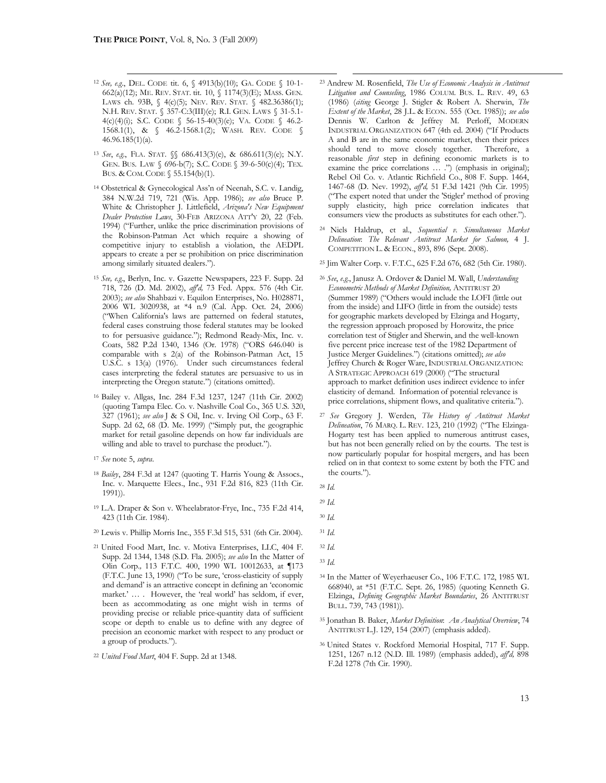- <sup>12</sup> *See, e.g*., DEL. CODE tit. 6, § 4913(b)(10); GA. CODE § 10-1- 662(a)(12); ME. REV. STAT. tit. 10, § 1174(3)(E); MASS. GEN. LAWS ch. 93B, § 4(c)(5); NEV. REV. STAT. § 482.36386(1); N.H. REV. STAT. § 357-C:3(III)(e); R.I. GEN. LAWS § 31-5.1- 4(c)(4)(i); S.C. CODE § 56-15-40(3)(e); VA. CODE § 46.2- 1568.1(1), & § 46.2-1568.1(2); WASH. REV. CODE § 46.96.185(1)(a).
- <sup>13</sup> *See*, *e.g*., FLA. STAT. §§ 686.413(3)(e), & 686.611(3)(e); N.Y. GEN. BUS. LAW § 696-b(7); S.C. CODE § 39-6-50(c)(4); TEX. BUS. & COM. CODE § 55.154(b)(1).
- <sup>14</sup> Obstetrical & Gynecological Ass'n of Neenah, S.C. v. Landig, 384 N.W.2d 719, 721 (Wis. App. 1986); *see also* Bruce P. White & Christopher J. Littlefield, *Arizona's New Equipment Dealer Protection Laws*, 30-FEB ARIZONA ATT'Y 20, 22 (Feb. 1994) ("Further, unlike the price discrimination provisions of the Robinson-Patman Act which require a showing of competitive injury to establish a violation, the AEDPL appears to create a per se prohibition on price discrimination among similarly situated dealers.").
- <sup>15</sup> *See, e.g*., Berlyn, Inc. v. Gazette Newspapers, 223 F. Supp. 2d 718, 726 (D. Md. 2002), *aff'd,* 73 Fed. Appx. 576 (4th Cir. 2003); *see also* Shahbazi v. Equilon Enterprises, No. H028871, 2006 WL 3020938, at \*4 n.9 (Cal. App. Oct. 24, 2006) ("When California's laws are patterned on federal statutes, federal cases construing those federal statutes may be looked to for persuasive guidance."); Redmond Ready-Mix, Inc. v. Coats, 582 P.2d 1340, 1346 (Or. 1978) ("ORS 646.040 is comparable with s 2(a) of the Robinson-Patman Act, 15 U.S.C. s 13(a) (1976). Under such circumstances federal cases interpreting the federal statutes are persuasive to us in interpreting the Oregon statute.") (citations omitted).
- <sup>16</sup> Bailey v. Allgas, Inc. 284 F.3d 1237, 1247 (11th Cir. 2002) (quoting Tampa Elec. Co. v. Nashville Coal Co., 365 U.S. 320, 327 (1961); *see also* J & S Oil, Inc. v. Irving Oil Corp., 63 F. Supp. 2d 62, 68 (D. Me. 1999) ("Simply put, the geographic market for retail gasoline depends on how far individuals are willing and able to travel to purchase the product.").
- <sup>17</sup> *See* note 5, *supra*.
- <sup>18</sup> *Bailey*, 284 F.3d at 1247 (quoting T. Harris Young & Assocs., Inc. v. Marquette Elecs., Inc., 931 F.2d 816, 823 (11th Cir. 1991)).
- <sup>19</sup> L.A. Draper & Son v. Wheelabrator-Frye, Inc., 735 F.2d 414, 423 (11th Cir. 1984).
- <sup>20</sup> Lewis v. Phillip Morris Inc., 355 F.3d 515, 531 (6th Cir. 2004).
- <sup>21</sup> United Food Mart, Inc. v. Motiva Enterprises, LLC, 404 F. Supp. 2d 1344, 1348 (S.D. Fla. 2005); *see also* In the Matter of Olin Corp.*,* 113 F.T.C. 400, 1990 WL 10012633, at ¶173 (F.T.C. June 13, 1990) ("To be sure, 'cross-elasticity of supply and demand' is an attractive concept in defining an 'economic market.' ... . However, the 'real world' has seldom, if ever, been as accommodating as one might wish in terms of providing precise or reliable price-quantity data of sufficient scope or depth to enable us to define with any degree of precision an economic market with respect to any product or a group of products.").
- <sup>22</sup> *United Food Mart*, 404 F. Supp. 2d at 1348.
- <sup>23</sup> Andrew M. Rosenfield, *The Use of Economic Analysis in Antitrust Litigation and Counseling*, 1986 COLUM. BUS. L. REV. 49, 63 (1986) (*citing* George J. Stigler & Robert A. Sherwin, *The Extent of the Market*, 28 J.L. & ECON. 555 (Oct. 1985)); *see also*  Dennis W. Carlton & Jeffrey M. Perloff, MODERN INDUSTRIAL ORGANIZATION 647 (4th ed. 2004) ("If Products A and B are in the same economic market, then their prices should tend to move closely together. Therefore, a reasonable *first* step in defining economic markets is to examine the price correlations ... .") (emphasis in original); Rebel Oil Co. v. Atlantic Richfield Co., 808 F. Supp. 1464, 1467-68 (D. Nev. 1992), *aff'd,* 51 F.3d 1421 (9th Cir. 1995) ("The expert noted that under the 'Stigler' method of proving supply elasticity, high price correlation indicates that consumers view the products as substitutes for each other.").
- <sup>24</sup> Niels Haldrup, et al., *Sequential v. Simultaneous Market Delineation*: *The Relevant Antitrust Market for Salmon,* 4 J. COMPETITION L. & ECON., 893, 896 (Sept. 2008).
- <sup>25</sup> Jim Walter Corp. v. F.T.C., 625 F.2d 676, 682 (5th Cir. 1980).
- <sup>26</sup> *See*, *e.g*., Janusz A. Ordover & Daniel M. Wall, *Understanding Econometric Methods of Market Definition,* ANTITRUST 20 (Summer 1989) ("Others would include the LOFI (little out from the inside) and LIFO (little in from the outside) tests for geographic markets developed by Elzinga and Hogarty, the regression approach proposed by Horowitz, the price correlation test of Stigler and Sherwin, and the well-known five percent price increase test of the 1982 Department of Justice Merger Guidelines.") (citations omitted); *see also* Jeffrey Church & Roger Ware, INDUSTRIAL ORGANIZATION: A STRATEGIC APPROACH 619 (2000) ("The structural approach to market definition uses indirect evidence to infer elasticity of demand. Information of potential relevance is price correlations, shipment flows, and qualitative criteria.").
- <sup>27</sup> *See* Gregory J. Werden, *The History of Antitrust Market Delineation*, 76 MARQ. L. REV. 123, 210 (1992) ("The Elzinga-Hogarty test has been applied to numerous antitrust cases, but has not been generally relied on by the courts. The test is now particularly popular for hospital mergers, and has been relied on in that context to some extent by both the FTC and the courts.").
- <sup>28</sup> *Id*.
- <sup>29</sup> *Id*.
- <sup>30</sup> *Id.*
- <sup>31</sup> *Id*.
- <sup>32</sup> *Id*.
- <sup>33</sup> *Id*.
- <sup>34</sup> In the Matter of Weyerhaeuser Co., 106 F.T.C. 172, 1985 WL 668940, at \*51 (F.T.C. Sept. 26, 1985) (quoting Kenneth G. Elzinga, *Defining Geographic Market Boundaries*, 26 ANTITRUST BULL. 739, 743 (1981)).
- <sup>35</sup> Jonathan B. Baker, *Market Definition*: *An Analytical Overview*, 74 ANTITRUST L.J. 129, 154 (2007) (emphasis added).
- <sup>36</sup> United States v. Rockford Memorial Hospital, 717 F. Supp. 1251, 1267 n.12 (N.D. Ill. 1989) (emphasis added), *aff'd,* 898 F.2d 1278 (7th Cir. 1990).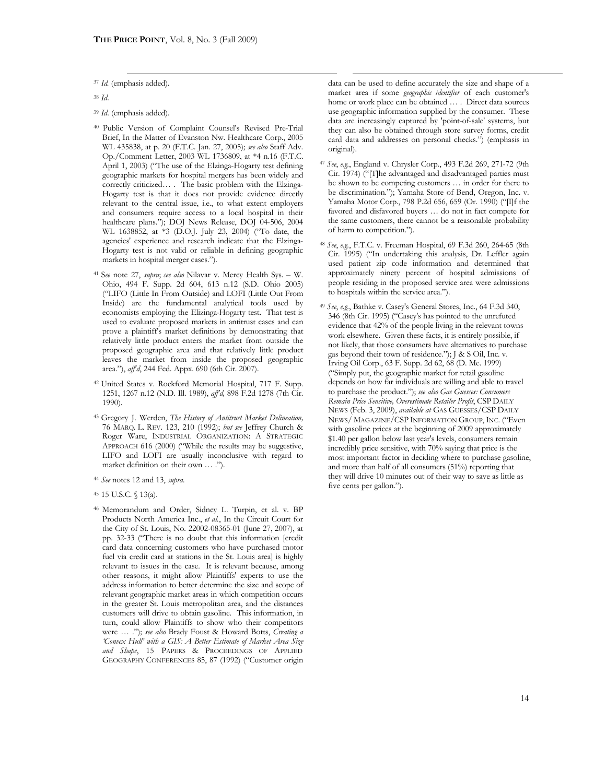<sup>37</sup> *Id.* (emphasis added).

<sup>38</sup> *Id*.

<sup>39</sup> *Id*. (emphasis added).

- <sup>40</sup> Public Version of Complaint Counsel's Revised Pre-Trial Brief, In the Matter of Evanston Nw. Healthcare Corp., 2005 WL 435838, at p. 20 (F.T.C. Jan. 27, 2005); *see also* Staff Adv. Op./Comment Letter, 2003 WL 1736809, at \*4 n.16 (F.T.C. April 1, 2003) ("The use of the Elzinga-Hogarty test defining geographic markets for hospital mergers has been widely and correctly criticized… . The basic problem with the Elzinga-Hogarty test is that it does not provide evidence directly relevant to the central issue, i.e., to what extent employers and consumers require access to a local hospital in their healthcare plans."); DOJ News Release, DOJ 04-506, 2004 WL 1638852, at \*3 (D.O.J. July 23, 2004) ("To date, the agencies' experience and research indicate that the Elzinga-Hogarty test is not valid or reliable in defining geographic markets in hospital merger cases.").
- <sup>41</sup> S*ee* note 27, *supra*; *see also* Nilavar v. Mercy Health Sys. W. Ohio, 494 F. Supp. 2d 604, 613 n.12 (S.D. Ohio 2005) ("LIFO (Little In From Outside) and LOFI (Little Out From Inside) are the fundamental analytical tools used by economists employing the Elizinga-Hogarty test. That test is used to evaluate proposed markets in antitrust cases and can prove a plaintiff's market definitions by demonstrating that relatively little product enters the market from outside the proposed geographic area and that relatively little product leaves the market from inside the proposed geographic area."), *aff'd*, 244 Fed. Appx. 690 (6th Cir. 2007).
- <sup>42</sup> United States v. Rockford Memorial Hospital, 717 F. Supp. 1251, 1267 n.12 (N.D. Ill. 1989), *aff'd,* 898 F.2d 1278 (7th Cir. 1990).
- <sup>43</sup> Gregory J. Werden, *The History of Antitrust Market Delineation,*  76 MARQ. L. REV. 123, 210 (1992); *but see* Jeffrey Church & Roger Ware, INDUSTRIAL ORGANIZATION: A STRATEGIC APPROACH 616 (2000) ("While the results may be suggestive, LIFO and LOFI are usually inconclusive with regard to market definition on their own … .").
- <sup>44</sup> *See* notes 12 and 13, *supra*.

<sup>46</sup> Memorandum and Order, Sidney L. Turpin, et al. v. BP Products North America Inc., *et al.*, In the Circuit Court for the City of St. Louis, No. 22002-08365-01 (June 27, 2007), at pp. 32-33 ("There is no doubt that this information [credit card data concerning customers who have purchased motor fuel via credit card at stations in the St. Louis area] is highly relevant to issues in the case. It is relevant because, among other reasons, it might allow Plaintiffs' experts to use the address information to better determine the size and scope of relevant geographic market areas in which competition occurs in the greater St. Louis metropolitan area, and the distances customers will drive to obtain gasoline. This information, in turn, could allow Plaintiffs to show who their competitors were … ."); *see also* Brady Foust & Howard Botts, *Creating a 'Convex Hull' with a GIS: A Better Estimate of Market Area Size and Shape*, 15 PAPERS & PROCEEDINGS OF APPLIED GEOGRAPHY CONFERENCES 85, 87 (1992) ("Customer origin

data can be used to define accurately the size and shape of a market area if some *geographic identifier* of each customer's home or work place can be obtained ... . Direct data sources use geographic information supplied by the consumer. These data are increasingly captured by 'point-of-sale' systems, but they can also be obtained through store survey forms, credit card data and addresses on personal checks.") (emphasis in original).

- <sup>47</sup> *See*, *e.g.*, England v. Chrysler Corp., 493 F.2d 269, 271-72 (9th Cir. 1974) ("[T]he advantaged and disadvantaged parties must be shown to be competing customers … in order for there to be discrimination."); Yamaha Store of Bend, Oregon, Inc. v. Yamaha Motor Corp., 798 P.2d 656, 659 (Or. 1990) ("[I]f the favored and disfavored buyers … do not in fact compete for the same customers, there cannot be a reasonable probability of harm to competition.").
- <sup>48</sup> *See*, *e.g.*, F.T.C. v. Freeman Hospital, 69 F.3d 260, 264-65 (8th Cir. 1995) ("In undertaking this analysis, Dr. Leffler again used patient zip code information and determined that approximately ninety percent of hospital admissions of people residing in the proposed service area were admissions to hospitals within the service area.").
- <sup>49</sup> *See*, *e.g.*, Bathke v. Casey's General Stores, Inc., 64 F.3d 340, 346 (8th Cir. 1995) ("Casey's has pointed to the unrefuted evidence that 42% of the people living in the relevant towns work elsewhere. Given these facts, it is entirely possible, if not likely, that those consumers have alternatives to purchase gas beyond their town of residence."); J & S Oil, Inc. v. Irving Oil Corp., 63 F. Supp. 2d 62, 68 (D. Me. 1999) ("Simply put, the geographic market for retail gasoline depends on how far individuals are willing and able to travel to purchase the product."); *see also Gas Guesses: Consumers Remain Price Sensitive, Overestimate Retailer Profit*, CSP DAILY NEWS (Feb. 3, 2009), *available at* GAS GUESSES/CSP DAILY NEWS/ MAGAZINE/CSP INFORMATION GROUP, INC. ("Even with gasoline prices at the beginning of 2009 approximately \$1.40 per gallon below last year's levels, consumers remain incredibly price sensitive, with 70% saying that price is the most important factor in deciding where to purchase gasoline, and more than half of all consumers (51%) reporting that they will drive 10 minutes out of their way to save as little as five cents per gallon.").

<sup>45</sup> 15 U.S.C. § 13(a).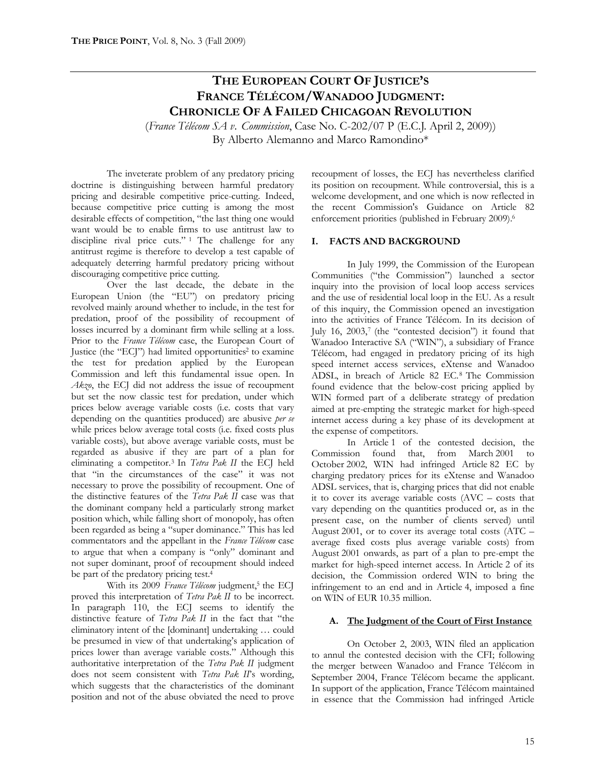# **THE EUROPEAN COURT OF JUSTICE'S FRANCE TÉLÉCOM/WANADOO JUDGMENT: CHRONICLE OF A FAILED CHICAGOAN REVOLUTION**

(*France Télécom SA v. Commission*, Case No. C-202/07 P (E.C.J. April 2, 2009))

By Alberto Alemanno and Marco Ramondino\*

The inveterate problem of any predatory pricing doctrine is distinguishing between harmful predatory pricing and desirable competitive price-cutting. Indeed, because competitive price cutting is among the most desirable effects of competition, "the last thing one would want would be to enable firms to use antitrust law to discipline rival price cuts." <sup>1</sup> The challenge for any antitrust regime is therefore to develop a test capable of adequately deterring harmful predatory pricing without discouraging competitive price cutting.

Over the last decade, the debate in the European Union (the "EU") on predatory pricing revolved mainly around whether to include, in the test for predation, proof of the possibility of recoupment of losses incurred by a dominant firm while selling at a loss. Prior to the *France Télécom* case, the European Court of Justice (the "ECJ") had limited opportunities<sup>2</sup> to examine the test for predation applied by the European Commission and left this fundamental issue open. In *Akzo*, the ECJ did not address the issue of recoupment but set the now classic test for predation, under which prices below average variable costs (i.e. costs that vary depending on the quantities produced) are abusive *per se* while prices below average total costs (i.e. fixed costs plus variable costs), but above average variable costs, must be regarded as abusive if they are part of a plan for eliminating a competitor.<sup>3</sup> In *Tetra Pak II* the ECJ held that "in the circumstances of the case" it was not necessary to prove the possibility of recoupment. One of the distinctive features of the *Tetra Pak II* case was that the dominant company held a particularly strong market position which, while falling short of monopoly, has often been regarded as being a "super dominance." This has led commentators and the appellant in the *France Télécom* case to argue that when a company is "only" dominant and not super dominant, proof of recoupment should indeed be part of the predatory pricing test.<sup>4</sup>

With its 2009 France Télécom judgment,<sup>5</sup> the ECJ proved this interpretation of *Tetra Pak II* to be incorrect. In paragraph 110, the ECJ seems to identify the distinctive feature of *Tetra Pak II* in the fact that "the eliminatory intent of the [dominant] undertaking … could be presumed in view of that undertaking's application of prices lower than average variable costs." Although this authoritative interpretation of the *Tetra Pak II* judgment does not seem consistent with *Tetra Pak II*'s wording, which suggests that the characteristics of the dominant position and not of the abuse obviated the need to prove

recoupment of losses, the ECJ has nevertheless clarified its position on recoupment. While controversial, this is a welcome development, and one which is now reflected in the recent Commission's Guidance on Article 82 enforcement priorities (published in February 2009).<sup>6</sup>

# **I. FACTS AND BACKGROUND**

In July 1999, the Commission of the European Communities ("the Commission") launched a sector inquiry into the provision of local loop access services and the use of residential local loop in the EU. As a result of this inquiry, the Commission opened an investigation into the activities of France Télécom. In its decision of July 16, 2003,7 (the "contested decision") it found that Wanadoo Interactive SA ("WIN"), a subsidiary of France Télécom, had engaged in predatory pricing of its high speed internet access services, eXtense and Wanadoo ADSL, in breach of Article 82 EC.<sup>8</sup> The Commission found evidence that the below-cost pricing applied by WIN formed part of a deliberate strategy of predation aimed at pre-empting the strategic market for high-speed internet access during a key phase of its development at the expense of competitors.

In Article 1 of the contested decision, the Commission found that, from March 2001 to October 2002, WIN had infringed Article 82 EC by charging predatory prices for its eXtense and Wanadoo ADSL services, that is, charging prices that did not enable it to cover its average variable costs (AVC – costs that vary depending on the quantities produced or, as in the present case, on the number of clients served) until August 2001, or to cover its average total costs (ATC – average fixed costs plus average variable costs) from August 2001 onwards, as part of a plan to pre-empt the market for high-speed internet access. In Article 2 of its decision, the Commission ordered WIN to bring the infringement to an end and in Article 4, imposed a fine on WIN of EUR 10.35 million.

#### **A. The Judgment of the Court of First Instance**

On October 2, 2003, WIN filed an application to annul the contested decision with the CFI; following the merger between Wanadoo and France Télécom in September 2004, France Télécom became the applicant. In support of the application, France Télécom maintained in essence that the Commission had infringed Article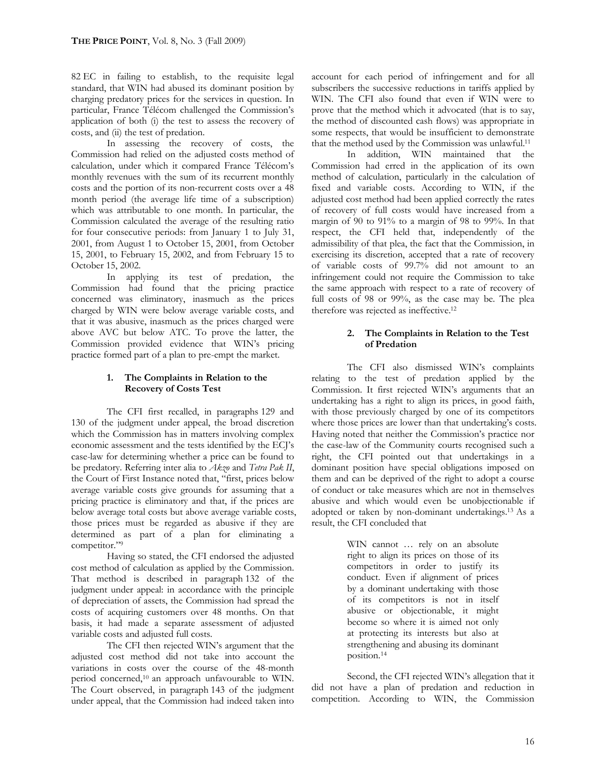82 EC in failing to establish, to the requisite legal standard, that WIN had abused its dominant position by charging predatory prices for the services in question. In particular, France Télécom challenged the Commission's application of both (i) the test to assess the recovery of costs, and (ii) the test of predation.

In assessing the recovery of costs, the Commission had relied on the adjusted costs method of calculation, under which it compared France Télécom's monthly revenues with the sum of its recurrent monthly costs and the portion of its non-recurrent costs over a 48 month period (the average life time of a subscription) which was attributable to one month. In particular, the Commission calculated the average of the resulting ratio for four consecutive periods: from January 1 to July 31, 2001, from August 1 to October 15, 2001, from October 15, 2001, to February 15, 2002, and from February 15 to October 15, 2002.

In applying its test of predation, the Commission had found that the pricing practice concerned was eliminatory, inasmuch as the prices charged by WIN were below average variable costs, and that it was abusive, inasmuch as the prices charged were above AVC but below ATC. To prove the latter, the Commission provided evidence that WIN's pricing practice formed part of a plan to pre-empt the market.

# **1. The Complaints in Relation to the Recovery of Costs Test**

The CFI first recalled, in paragraphs 129 and 130 of the judgment under appeal, the broad discretion which the Commission has in matters involving complex economic assessment and the tests identified by the ECJ's case-law for determining whether a price can be found to be predatory. Referring inter alia to *Akzo* and *Tetra Pak II*, the Court of First Instance noted that, "first, prices below average variable costs give grounds for assuming that a pricing practice is eliminatory and that, if the prices are below average total costs but above average variable costs, those prices must be regarded as abusive if they are determined as part of a plan for eliminating a competitor."<sup>9</sup>

Having so stated, the CFI endorsed the adjusted cost method of calculation as applied by the Commission. That method is described in paragraph 132 of the judgment under appeal: in accordance with the principle of depreciation of assets, the Commission had spread the costs of acquiring customers over 48 months. On that basis, it had made a separate assessment of adjusted variable costs and adjusted full costs.

The CFI then rejected WIN's argument that the adjusted cost method did not take into account the variations in costs over the course of the 48-month period concerned,<sup>10</sup> an approach unfavourable to WIN. The Court observed, in paragraph 143 of the judgment under appeal, that the Commission had indeed taken into

account for each period of infringement and for all subscribers the successive reductions in tariffs applied by WIN. The CFI also found that even if WIN were to prove that the method which it advocated (that is to say, the method of discounted cash flows) was appropriate in some respects, that would be insufficient to demonstrate that the method used by the Commission was unlawful.<sup>11</sup>

In addition, WIN maintained that the Commission had erred in the application of its own method of calculation, particularly in the calculation of fixed and variable costs. According to WIN, if the adjusted cost method had been applied correctly the rates of recovery of full costs would have increased from a margin of 90 to 91% to a margin of 98 to 99%. In that respect, the CFI held that, independently of the admissibility of that plea, the fact that the Commission, in exercising its discretion, accepted that a rate of recovery of variable costs of 99.7% did not amount to an infringement could not require the Commission to take the same approach with respect to a rate of recovery of full costs of 98 or 99%, as the case may be. The plea therefore was rejected as ineffective.<sup>12</sup>

# **2. The Complaints in Relation to the Test of Predation**

The CFI also dismissed WIN's complaints relating to the test of predation applied by the Commission. It first rejected WIN's arguments that an undertaking has a right to align its prices, in good faith, with those previously charged by one of its competitors where those prices are lower than that undertaking's costs. Having noted that neither the Commission's practice nor the case-law of the Community courts recognised such a right, the CFI pointed out that undertakings in a dominant position have special obligations imposed on them and can be deprived of the right to adopt a course of conduct or take measures which are not in themselves abusive and which would even be unobjectionable if adopted or taken by non-dominant undertakings.<sup>13</sup> As a result, the CFI concluded that

> WIN cannot … rely on an absolute right to align its prices on those of its competitors in order to justify its conduct. Even if alignment of prices by a dominant undertaking with those of its competitors is not in itself abusive or objectionable, it might become so where it is aimed not only at protecting its interests but also at strengthening and abusing its dominant position.<sup>14</sup>

Second, the CFI rejected WIN's allegation that it did not have a plan of predation and reduction in competition. According to WIN, the Commission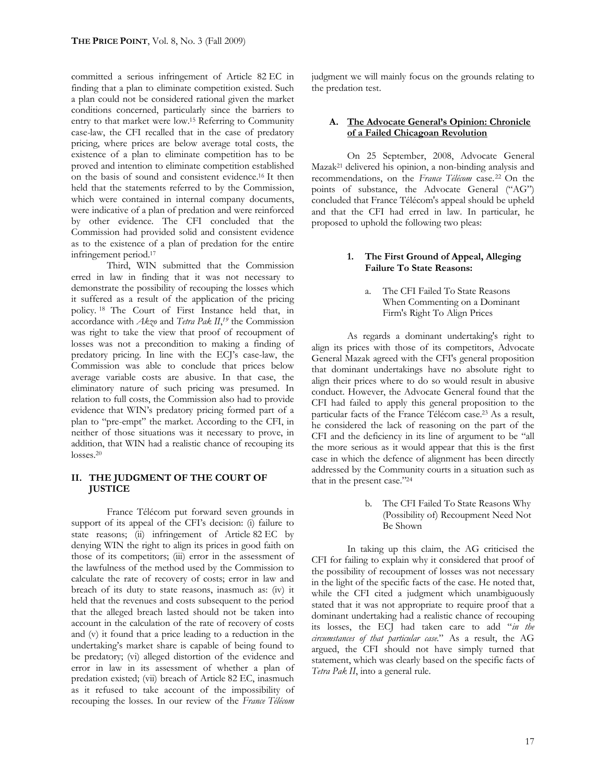committed a serious infringement of Article 82 EC in finding that a plan to eliminate competition existed. Such a plan could not be considered rational given the market conditions concerned, particularly since the barriers to entry to that market were low.<sup>15</sup> Referring to Community case-law, the CFI recalled that in the case of predatory pricing, where prices are below average total costs, the existence of a plan to eliminate competition has to be proved and intention to eliminate competition established on the basis of sound and consistent evidence.<sup>16</sup> It then held that the statements referred to by the Commission, which were contained in internal company documents, were indicative of a plan of predation and were reinforced by other evidence. The CFI concluded that the Commission had provided solid and consistent evidence as to the existence of a plan of predation for the entire infringement period.<sup>17</sup>

Third, WIN submitted that the Commission erred in law in finding that it was not necessary to demonstrate the possibility of recouping the losses which it suffered as a result of the application of the pricing policy. <sup>18</sup> The Court of First Instance held that, in accordance with *Akzo* and *Tetra Pak II*, *<sup>19</sup>* the Commission was right to take the view that proof of recoupment of losses was not a precondition to making a finding of predatory pricing. In line with the ECJ's case-law, the Commission was able to conclude that prices below average variable costs are abusive. In that case, the eliminatory nature of such pricing was presumed. In relation to full costs, the Commission also had to provide evidence that WIN's predatory pricing formed part of a plan to "pre-empt" the market. According to the CFI, in neither of those situations was it necessary to prove, in addition, that WIN had a realistic chance of recouping its losses.<sup>20</sup>

#### **II. THE JUDGMENT OF THE COURT OF JUSTICE**

France Télécom put forward seven grounds in support of its appeal of the CFI's decision: (i) failure to state reasons; (ii) infringement of Article 82 EC by denying WIN the right to align its prices in good faith on those of its competitors; (iii) error in the assessment of the lawfulness of the method used by the Commission to calculate the rate of recovery of costs; error in law and breach of its duty to state reasons, inasmuch as: (iv) it held that the revenues and costs subsequent to the period that the alleged breach lasted should not be taken into account in the calculation of the rate of recovery of costs and (v) it found that a price leading to a reduction in the undertaking's market share is capable of being found to be predatory; (vi) alleged distortion of the evidence and error in law in its assessment of whether a plan of predation existed; (vii) breach of Article 82 EC, inasmuch as it refused to take account of the impossibility of recouping the losses. In our review of the *France Télécom* 

judgment we will mainly focus on the grounds relating to the predation test.

#### **A. The Advocate General's Opinion: Chronicle of a Failed Chicagoan Revolution**

On 25 September, 2008, Advocate General Mazak<sup>21</sup> delivered his opinion, a non-binding analysis and recommendations, on the *France Télécom* case.<sup>22</sup> On the points of substance, the Advocate General ("AG") concluded that France Télécom's appeal should be upheld and that the CFI had erred in law. In particular, he proposed to uphold the following two pleas:

#### **1. The First Ground of Appeal, Alleging Failure To State Reasons:**

a. The CFI Failed To State Reasons When Commenting on a Dominant Firm's Right To Align Prices

As regards a dominant undertaking's right to align its prices with those of its competitors, Advocate General Mazak agreed with the CFI's general proposition that dominant undertakings have no absolute right to align their prices where to do so would result in abusive conduct. However, the Advocate General found that the CFI had failed to apply this general proposition to the particular facts of the France Télécom case.<sup>23</sup> As a result, he considered the lack of reasoning on the part of the CFI and the deficiency in its line of argument to be "all the more serious as it would appear that this is the first case in which the defence of alignment has been directly addressed by the Community courts in a situation such as that in the present case."<sup>24</sup>

> b. The CFI Failed To State Reasons Why (Possibility of) Recoupment Need Not Be Shown

In taking up this claim, the AG criticised the CFI for failing to explain why it considered that proof of the possibility of recoupment of losses was not necessary in the light of the specific facts of the case. He noted that, while the CFI cited a judgment which unambiguously stated that it was not appropriate to require proof that a dominant undertaking had a realistic chance of recouping its losses, the ECJ had taken care to add "*in the circumstances of that particular case.*" As a result, the AG argued, the CFI should not have simply turned that statement, which was clearly based on the specific facts of *Tetra Pak II*, into a general rule.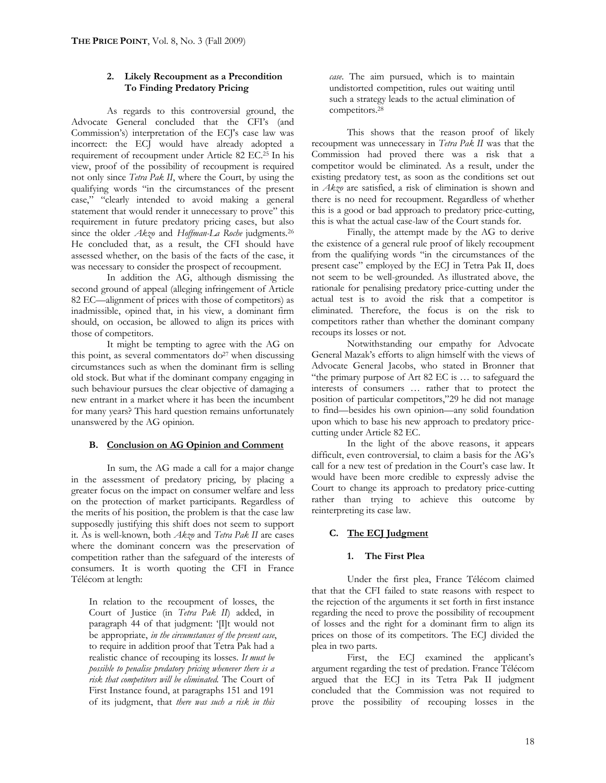# **2. Likely Recoupment as a Precondition To Finding Predatory Pricing**

As regards to this controversial ground, the Advocate General concluded that the CFI's (and Commission's) interpretation of the ECJ's case law was incorrect: the ECJ would have already adopted a requirement of recoupment under Article 82 EC.<sup>25</sup> In his view, proof of the possibility of recoupment is required not only since *Tetra Pak II*, where the Court, by using the qualifying words "in the circumstances of the present case," "clearly intended to avoid making a general statement that would render it unnecessary to prove" this requirement in future predatory pricing cases, but also since the older *Akzo* and *Hoffman-La Roche* judgments.<sup>26</sup> He concluded that, as a result, the CFI should have assessed whether, on the basis of the facts of the case, it was necessary to consider the prospect of recoupment.

In addition the AG, although dismissing the second ground of appeal (alleging infringement of Article 82 EC—alignment of prices with those of competitors) as inadmissible, opined that, in his view, a dominant firm should, on occasion, be allowed to align its prices with those of competitors.

It might be tempting to agree with the AG on this point, as several commentators  $do^{27}$  when discussing circumstances such as when the dominant firm is selling old stock. But what if the dominant company engaging in such behaviour pursues the clear objective of damaging a new entrant in a market where it has been the incumbent for many years? This hard question remains unfortunately unanswered by the AG opinion.

# **B. Conclusion on AG Opinion and Comment**

In sum, the AG made a call for a major change in the assessment of predatory pricing, by placing a greater focus on the impact on consumer welfare and less on the protection of market participants. Regardless of the merits of his position, the problem is that the case law supposedly justifying this shift does not seem to support it. As is well-known, both *Akzo* and *Tetra Pak II* are cases where the dominant concern was the preservation of competition rather than the safeguard of the interests of consumers. It is worth quoting the CFI in France Télécom at length:

In relation to the recoupment of losses, the Court of Justice (in *Tetra Pak II*) added, in paragraph 44 of that judgment: '[I]t would not be appropriate, *in the circumstances of the present case*, to require in addition proof that Tetra Pak had a realistic chance of recouping its losses. *It must be possible to penalise predatory pricing whenever there is a risk that competitors will be eliminated.* The Court of First Instance found, at paragraphs 151 and 191 of its judgment, that *there was such a risk in this* 

*case*. The aim pursued, which is to maintain undistorted competition, rules out waiting until such a strategy leads to the actual elimination of competitors.<sup>28</sup>

This shows that the reason proof of likely recoupment was unnecessary in *Tetra Pak II* was that the Commission had proved there was a risk that a competitor would be eliminated. As a result, under the existing predatory test, as soon as the conditions set out in *Akzo* are satisfied, a risk of elimination is shown and there is no need for recoupment. Regardless of whether this is a good or bad approach to predatory price-cutting, this is what the actual case-law of the Court stands for.

Finally, the attempt made by the AG to derive the existence of a general rule proof of likely recoupment from the qualifying words "in the circumstances of the present case" employed by the ECJ in Tetra Pak II, does not seem to be well-grounded. As illustrated above, the rationale for penalising predatory price-cutting under the actual test is to avoid the risk that a competitor is eliminated. Therefore, the focus is on the risk to competitors rather than whether the dominant company recoups its losses or not.

Notwithstanding our empathy for Advocate General Mazak's efforts to align himself with the views of Advocate General Jacobs, who stated in Bronner that "the primary purpose of Art 82 EC is … to safeguard the interests of consumers … rather that to protect the position of particular competitors,"29 he did not manage to find—besides his own opinion—any solid foundation upon which to base his new approach to predatory pricecutting under Article 82 EC.

In the light of the above reasons, it appears difficult, even controversial, to claim a basis for the AG's call for a new test of predation in the Court's case law. It would have been more credible to expressly advise the Court to change its approach to predatory price-cutting rather than trying to achieve this outcome by reinterpreting its case law.

# **C. The ECJ Judgment**

#### **1. The First Plea**

Under the first plea, France Télécom claimed that that the CFI failed to state reasons with respect to the rejection of the arguments it set forth in first instance regarding the need to prove the possibility of recoupment of losses and the right for a dominant firm to align its prices on those of its competitors. The ECJ divided the plea in two parts.

First, the ECJ examined the applicant's argument regarding the test of predation. France Télécom argued that the ECJ in its Tetra Pak II judgment concluded that the Commission was not required to prove the possibility of recouping losses in the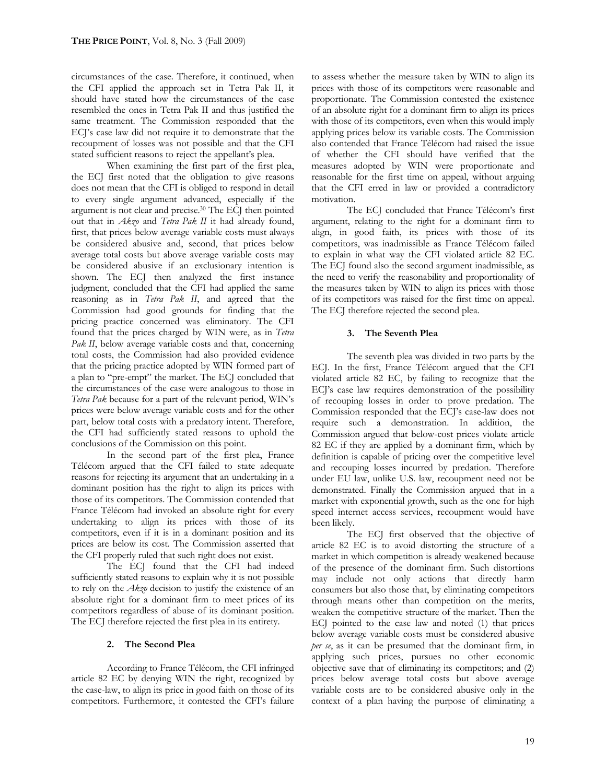circumstances of the case. Therefore, it continued, when the CFI applied the approach set in Tetra Pak II, it should have stated how the circumstances of the case resembled the ones in Tetra Pak II and thus justified the same treatment. The Commission responded that the ECJ's case law did not require it to demonstrate that the recoupment of losses was not possible and that the CFI stated sufficient reasons to reject the appellant's plea.

When examining the first part of the first plea, the ECJ first noted that the obligation to give reasons does not mean that the CFI is obliged to respond in detail to every single argument advanced, especially if the argument is not clear and precise.<sup>30</sup> The ECJ then pointed out that in *Akzo* and *Tetra Pak II* it had already found, first, that prices below average variable costs must always be considered abusive and, second, that prices below average total costs but above average variable costs may be considered abusive if an exclusionary intention is shown. The ECJ then analyzed the first instance judgment, concluded that the CFI had applied the same reasoning as in *Tetra Pak II*, and agreed that the Commission had good grounds for finding that the pricing practice concerned was eliminatory. The CFI found that the prices charged by WIN were, as in *Tetra*  Pak II, below average variable costs and that, concerning total costs, the Commission had also provided evidence that the pricing practice adopted by WIN formed part of a plan to "pre-empt" the market. The ECJ concluded that the circumstances of the case were analogous to those in *Tetra Pak* because for a part of the relevant period, WIN's prices were below average variable costs and for the other part, below total costs with a predatory intent. Therefore, the CFI had sufficiently stated reasons to uphold the conclusions of the Commission on this point.

In the second part of the first plea, France Télécom argued that the CFI failed to state adequate reasons for rejecting its argument that an undertaking in a dominant position has the right to align its prices with those of its competitors. The Commission contended that France Télécom had invoked an absolute right for every undertaking to align its prices with those of its competitors, even if it is in a dominant position and its prices are below its cost. The Commission asserted that the CFI properly ruled that such right does not exist.

The ECJ found that the CFI had indeed sufficiently stated reasons to explain why it is not possible to rely on the *Akzo* decision to justify the existence of an absolute right for a dominant firm to meet prices of its competitors regardless of abuse of its dominant position. The ECJ therefore rejected the first plea in its entirety.

#### **2. The Second Plea**

According to France Télécom, the CFI infringed article 82 EC by denying WIN the right, recognized by the case-law, to align its price in good faith on those of its competitors. Furthermore, it contested the CFI's failure to assess whether the measure taken by WIN to align its prices with those of its competitors were reasonable and proportionate. The Commission contested the existence of an absolute right for a dominant firm to align its prices with those of its competitors, even when this would imply applying prices below its variable costs. The Commission also contended that France Télécom had raised the issue of whether the CFI should have verified that the measures adopted by WIN were proportionate and reasonable for the first time on appeal, without arguing that the CFI erred in law or provided a contradictory motivation.

The ECJ concluded that France Télécom's first argument, relating to the right for a dominant firm to align, in good faith, its prices with those of its competitors, was inadmissible as France Télécom failed to explain in what way the CFI violated article 82 EC. The ECJ found also the second argument inadmissible, as the need to verify the reasonability and proportionality of the measures taken by WIN to align its prices with those of its competitors was raised for the first time on appeal. The ECJ therefore rejected the second plea.

#### **3. The Seventh Plea**

The seventh plea was divided in two parts by the ECJ. In the first, France Télécom argued that the CFI violated article 82 EC, by failing to recognize that the ECJ's case law requires demonstration of the possibility of recouping losses in order to prove predation. The Commission responded that the ECJ's case-law does not require such a demonstration. In addition, the Commission argued that below-cost prices violate article 82 EC if they are applied by a dominant firm, which by definition is capable of pricing over the competitive level and recouping losses incurred by predation. Therefore under EU law, unlike U.S. law, recoupment need not be demonstrated. Finally the Commission argued that in a market with exponential growth, such as the one for high speed internet access services, recoupment would have been likely.

The ECJ first observed that the objective of article 82 EC is to avoid distorting the structure of a market in which competition is already weakened because of the presence of the dominant firm. Such distortions may include not only actions that directly harm consumers but also those that, by eliminating competitors through means other than competition on the merits, weaken the competitive structure of the market. Then the ECJ pointed to the case law and noted (1) that prices below average variable costs must be considered abusive *per se*, as it can be presumed that the dominant firm, in applying such prices, pursues no other economic objective save that of eliminating its competitors; and (2) prices below average total costs but above average variable costs are to be considered abusive only in the context of a plan having the purpose of eliminating a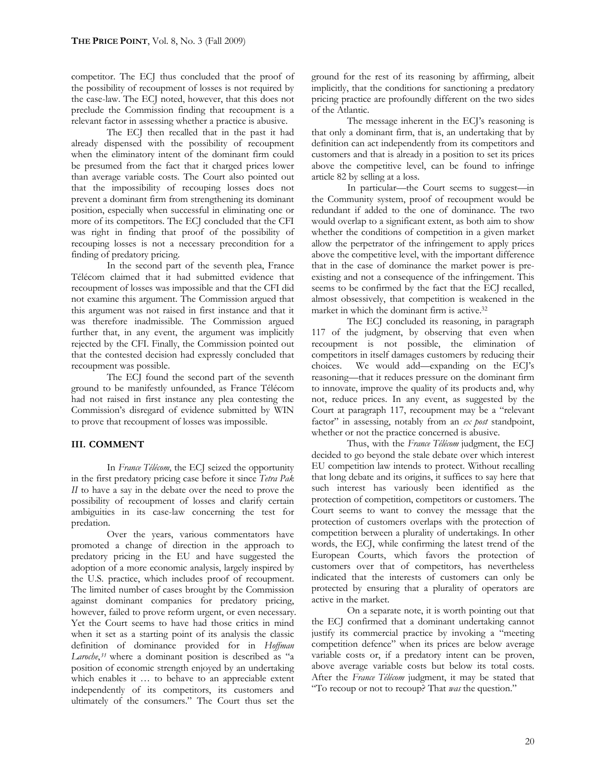competitor. The ECJ thus concluded that the proof of the possibility of recoupment of losses is not required by the case-law. The ECJ noted, however, that this does not preclude the Commission finding that recoupment is a relevant factor in assessing whether a practice is abusive.

The ECJ then recalled that in the past it had already dispensed with the possibility of recoupment when the eliminatory intent of the dominant firm could be presumed from the fact that it charged prices lower than average variable costs. The Court also pointed out that the impossibility of recouping losses does not prevent a dominant firm from strengthening its dominant position, especially when successful in eliminating one or more of its competitors. The ECJ concluded that the CFI was right in finding that proof of the possibility of recouping losses is not a necessary precondition for a finding of predatory pricing.

In the second part of the seventh plea, France Télécom claimed that it had submitted evidence that recoupment of losses was impossible and that the CFI did not examine this argument. The Commission argued that this argument was not raised in first instance and that it was therefore inadmissible. The Commission argued further that, in any event, the argument was implicitly rejected by the CFI. Finally, the Commission pointed out that the contested decision had expressly concluded that recoupment was possible.

The ECJ found the second part of the seventh ground to be manifestly unfounded, as France Télécom had not raised in first instance any plea contesting the Commission's disregard of evidence submitted by WIN to prove that recoupment of losses was impossible.

#### **III. COMMENT**

In *France Télécom*, the ECJ seized the opportunity in the first predatory pricing case before it since *Tetra Pak II* to have a say in the debate over the need to prove the possibility of recoupment of losses and clarify certain ambiguities in its case-law concerning the test for predation.

Over the years, various commentators have promoted a change of direction in the approach to predatory pricing in the EU and have suggested the adoption of a more economic analysis, largely inspired by the U.S. practice, which includes proof of recoupment. The limited number of cases brought by the Commission against dominant companies for predatory pricing, however, failed to prove reform urgent, or even necessary. Yet the Court seems to have had those critics in mind when it set as a starting point of its analysis the classic definition of dominance provided for in *Hoffman Laroche*, *<sup>31</sup>* where a dominant position is described as "a position of economic strength enjoyed by an undertaking which enables it … to behave to an appreciable extent independently of its competitors, its customers and ultimately of the consumers." The Court thus set the

ground for the rest of its reasoning by affirming, albeit implicitly, that the conditions for sanctioning a predatory pricing practice are profoundly different on the two sides of the Atlantic.

The message inherent in the ECI's reasoning is that only a dominant firm, that is, an undertaking that by definition can act independently from its competitors and customers and that is already in a position to set its prices above the competitive level, can be found to infringe article 82 by selling at a loss.

In particular—the Court seems to suggest—in the Community system, proof of recoupment would be redundant if added to the one of dominance. The two would overlap to a significant extent, as both aim to show whether the conditions of competition in a given market allow the perpetrator of the infringement to apply prices above the competitive level, with the important difference that in the case of dominance the market power is preexisting and not a consequence of the infringement. This seems to be confirmed by the fact that the ECJ recalled, almost obsessively, that competition is weakened in the market in which the dominant firm is active.<sup>32</sup>

The ECJ concluded its reasoning, in paragraph 117 of the judgment, by observing that even when recoupment is not possible, the elimination of competitors in itself damages customers by reducing their choices. We would add—expanding on the ECJ's reasoning—that it reduces pressure on the dominant firm to innovate, improve the quality of its products and, why not, reduce prices. In any event, as suggested by the Court at paragraph 117, recoupment may be a "relevant factor" in assessing, notably from an *ex post* standpoint, whether or not the practice concerned is abusive.

Thus, with the *France Télécom* judgment, the ECJ decided to go beyond the stale debate over which interest EU competition law intends to protect. Without recalling that long debate and its origins, it suffices to say here that such interest has variously been identified as the protection of competition, competitors or customers. The Court seems to want to convey the message that the protection of customers overlaps with the protection of competition between a plurality of undertakings. In other words, the ECJ, while confirming the latest trend of the European Courts, which favors the protection of customers over that of competitors, has nevertheless indicated that the interests of customers can only be protected by ensuring that a plurality of operators are active in the market.

On a separate note, it is worth pointing out that the ECJ confirmed that a dominant undertaking cannot justify its commercial practice by invoking a "meeting competition defence" when its prices are below average variable costs or, if a predatory intent can be proven, above average variable costs but below its total costs. After the *France Télécom* judgment, it may be stated that "To recoup or not to recoup? That *was* the question."